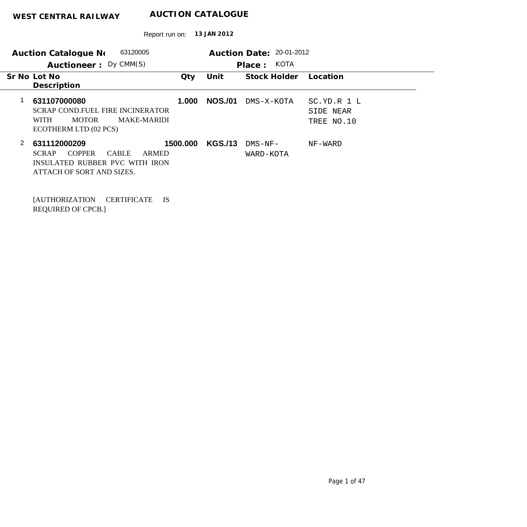Report run on: **13 JAN 2012**

| 63120005<br>Auction Catalogue No                                                                                                                                                                           | Auction Date: 20-01-2012                                               |
|------------------------------------------------------------------------------------------------------------------------------------------------------------------------------------------------------------|------------------------------------------------------------------------|
| Auctioneer: Dy CMM(S)                                                                                                                                                                                      | KOTA<br>Place:                                                         |
| Sr No Lot No<br>Qty                                                                                                                                                                                        | Unit<br>Stock Holder<br>Location                                       |
| Description                                                                                                                                                                                                |                                                                        |
| 631107000080<br>1.000<br><b>SCRAP COND.FUEL FIRE INCINERATOR</b><br><b>MOTOR</b><br><b>MAKE-MARIDI</b><br><b>WITH</b><br>ECOTHERM LTD (02 PCS)                                                             | <b>NOS./01</b><br>DMS-X-KOTA<br>SC.YD.R 1 L<br>SIDE NEAR<br>TREE NO.10 |
| 2<br>631112000209<br>1500.000<br><b>COPPER</b><br><b>CABLE</b><br><b>SCRAP</b><br>ARMED<br>INSULATED RUBBER PVC WITH IRON<br>ATTACH OF SORT AND SIZES.<br><b>CERTIFICATE</b><br><b>IS</b><br>AUTHORIZATION | <b>KGS./13</b><br>$DMS-NF-$<br>NF-WARD<br>WARD-KOTA                    |

REQUIRED OF CPCB.]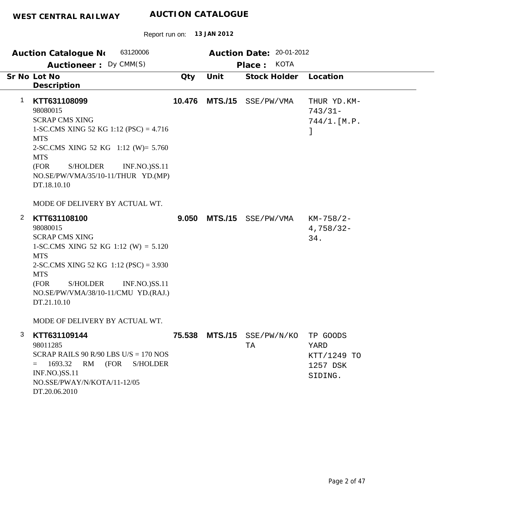DT.20.06.2010

| 13 JAN 2012<br>Report run on:                                                                                                                                                                                                                                                                                       |        |                |                                                   |                                                        |  |  |  |
|---------------------------------------------------------------------------------------------------------------------------------------------------------------------------------------------------------------------------------------------------------------------------------------------------------------------|--------|----------------|---------------------------------------------------|--------------------------------------------------------|--|--|--|
| 63120006<br><b>Auction Catalogue No</b><br>Auctioneer: Dy CMM(S)                                                                                                                                                                                                                                                    |        |                | Auction Date: 20-01-2012<br><b>KOTA</b><br>Place: |                                                        |  |  |  |
| Sr No Lot No<br>Description                                                                                                                                                                                                                                                                                         | Qty    | Unit           | <b>Stock Holder</b>                               | Location                                               |  |  |  |
| 1<br>KTT631108099<br>98080015<br><b>SCRAP CMS XING</b><br>1-SC.CMS XING 52 KG 1:12 (PSC) = $4.716$<br><b>MTS</b><br>2-SC.CMS XING 52 KG 1:12 (W)= 5.760<br><b>MTS</b><br><b>S/HOLDER</b><br>(FOR<br><b>INF.NO.)SS.11</b><br>NO.SE/PW/VMA/35/10-11/THUR YD.(MP)<br>DT.18.10.10<br>MODE OF DELIVERY BY ACTUAL WT.     | 10.476 | <b>MTS./15</b> | SSE/PW/VMA                                        | THUR YD. KM-<br>$743/31-$<br>$744/1.$ [M.P.<br>J       |  |  |  |
| 2<br>KTT631108100<br>98080015<br><b>SCRAP CMS XING</b><br>1-SC.CMS XING 52 KG 1:12 (W) = $5.120$<br><b>MTS</b><br>2-SC.CMS XING 52 KG $1:12$ (PSC) = 3.930<br><b>MTS</b><br>(FOR<br><b>S/HOLDER</b><br><b>INF.NO.)SS.11</b><br>NO.SE/PW/VMA/38/10-11/CMU YD.(RAJ.)<br>DT.21.10.10<br>MODE OF DELIVERY BY ACTUAL WT. | 9.050  | <b>MTS./15</b> | SSE/PW/VMA                                        | $KM-758/2-$<br>$4,758/32-$<br>34.                      |  |  |  |
| 3<br>KTT631109144<br>98011285<br>SCRAP RAILS 90 R/90 LBS U/S = $170$ NOS<br>1693.32<br>RM<br>(FOR<br><b>S/HOLDER</b><br>$=$<br><b>INF.NO.)SS.11</b><br>NO.SSE/PWAY/N/KOTA/11-12/05                                                                                                                                  |        |                | 75.538 MTS./15 SSE/PW/N/KO<br>TA                  | TP GOODS<br>YARD<br>KTT/1249 TO<br>1257 DSK<br>SIDING. |  |  |  |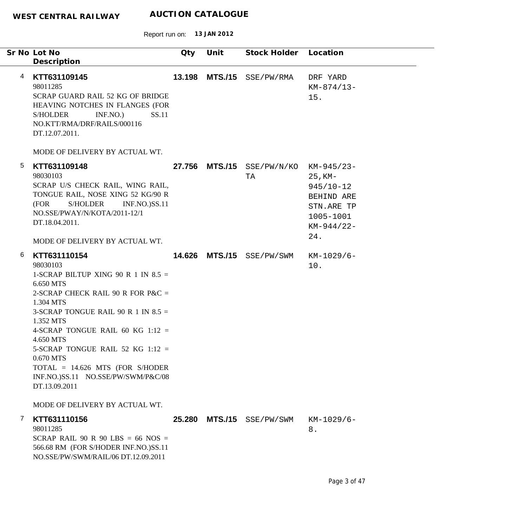|   | Sr No Lot No<br>Description                                                                                                                                                                                                                                                                                                                                                                            | Qty    | Unit           | Stock Holder                     | Location                                                                                    |
|---|--------------------------------------------------------------------------------------------------------------------------------------------------------------------------------------------------------------------------------------------------------------------------------------------------------------------------------------------------------------------------------------------------------|--------|----------------|----------------------------------|---------------------------------------------------------------------------------------------|
| 4 | KTT631109145<br>98011285<br>SCRAP GUARD RAIL 52 KG OF BRIDGE<br>HEAVING NOTCHES IN FLANGES (FOR<br>INF.NO.<br>SS.11<br><b>S/HOLDER</b><br>NO.KTT/RMA/DRF/RAILS/000116<br>DT.12.07.2011.                                                                                                                                                                                                                | 13.198 | <b>MTS./15</b> | SSE/PW/RMA                       | DRF YARD<br>$KM-874/13-$<br>15.                                                             |
|   | MODE OF DELIVERY BY ACTUAL WT.                                                                                                                                                                                                                                                                                                                                                                         |        |                |                                  |                                                                                             |
| 5 | KTT631109148<br>98030103<br>SCRAP U/S CHECK RAIL, WING RAIL,<br>TONGUE RAIL, NOSE XING 52 KG/90 R<br><b>INF.NO.)SS.11</b><br>(FOR<br>S/HOLDER<br>NO.SSE/PWAY/N/KOTA/2011-12/1<br>DT.18.04.2011.<br>MODE OF DELIVERY BY ACTUAL WT.                                                                                                                                                                      | 27.756 | <b>MTS./15</b> | $SSE/PW/N/KO$ $KM-945/23-$<br>ТA | $25$ , KM-<br>$945/10 - 12$<br>BEHIND ARE<br>STN.ARE TP<br>1005-1001<br>$KM-944/22-$<br>24. |
| 6 | KTT631110154                                                                                                                                                                                                                                                                                                                                                                                           |        |                | 14.626 MTS./15 SSE/PW/SWM        | $KM-1029/6-$                                                                                |
|   | 98030103<br>1-SCRAP BILTUP XING 90 R 1 IN $8.5 =$<br>6.650 MTS<br>2-SCRAP CHECK RAIL 90 R FOR P&C $=$<br>1.304 MTS<br>3-SCRAP TONGUE RAIL 90 R 1 IN $8.5 =$<br>1.352 MTS<br>4-SCRAP TONGUE RAIL 60 KG 1:12 =<br>4.650 MTS<br>5-SCRAP TONGUE RAIL 52 KG 1:12 =<br>0.670 MTS<br>TOTAL = 14.626 MTS (FOR S/HODER<br>INF.NO.)SS.11 NO.SSE/PW/SWM/P&C/08<br>DT.13.09.2011<br>MODE OF DELIVERY BY ACTUAL WT. |        |                |                                  | 10.                                                                                         |
| 7 | KTT631110156<br>98011285<br>SCRAP RAIL 90 R 90 LBS = 66 NOS =<br>566.68 RM (FOR S/HODER INF.NO.)SS.11<br>NO.SSE/PW/SWM/RAIL/06 DT.12.09.2011                                                                                                                                                                                                                                                           |        |                | 25.280 MTS./15 SSE/PW/SWM        | $KM-1029/6-$<br>8.                                                                          |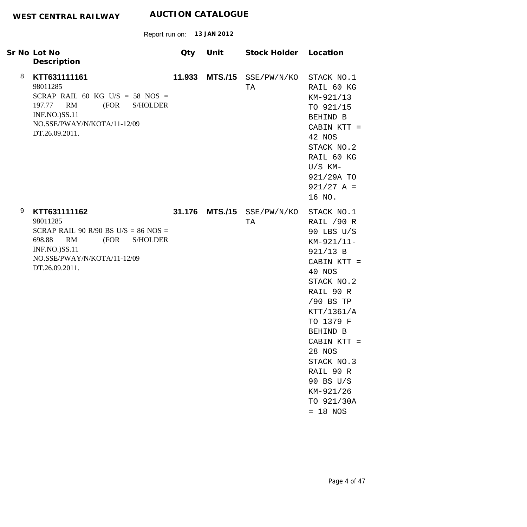| Sr No Lot No<br>Description                                                             |                                                                                                  | Qty    | Unit           | Stock Holder Location     |                                                                                                                                                                                                                                                                                    |
|-----------------------------------------------------------------------------------------|--------------------------------------------------------------------------------------------------|--------|----------------|---------------------------|------------------------------------------------------------------------------------------------------------------------------------------------------------------------------------------------------------------------------------------------------------------------------------|
| 8<br>KTT631111161<br>98011285<br>RM<br>197.77<br>INF.NO.)SS.11<br>DT.26.09.2011.        | SCRAP RAIL 60 KG U/S = 58 NOS =<br>(FOR<br><b>S/HOLDER</b><br>NO.SSE/PWAY/N/KOTA/11-12/09        | 11.933 |                | MTS./15 SSE/PW/N/KO<br>TA | STACK NO.1<br>RAIL 60 KG<br>KM-921/13<br>TO 921/15<br>BEHIND B<br>CABIN KTT =<br>42 NOS<br>STACK NO.2<br>RAIL 60 KG<br>$U/S$ KM-<br>921/29A TO<br>$921/27 A =$<br>16 NO.                                                                                                           |
| 9<br>KTT631111162<br>98011285<br>RM<br>698.88<br><b>INF.NO.)SS.11</b><br>DT.26.09.2011. | SCRAP RAIL 90 R/90 BS U/S = $86$ NOS =<br>(FOR<br><b>S/HOLDER</b><br>NO.SSE/PWAY/N/KOTA/11-12/09 |        | 31.176 MTS./15 | SSE/PW/N/KO<br>TA         | STACK NO.1<br>RAIL /90 R<br>90 LBS U/S<br>KM-921/11-<br>921/13 B<br>CABIN KTT =<br>40 NOS<br>STACK NO.2<br>RAIL 90 R<br>/90 BS TP<br>KTT/1361/A<br>TO 1379 F<br>BEHIND B<br>CABIN KTT =<br>28 NOS<br>STACK NO.3<br>RAIL 90 R<br>90 BS U/S<br>KM-921/26<br>TO 921/30A<br>$= 18$ NOS |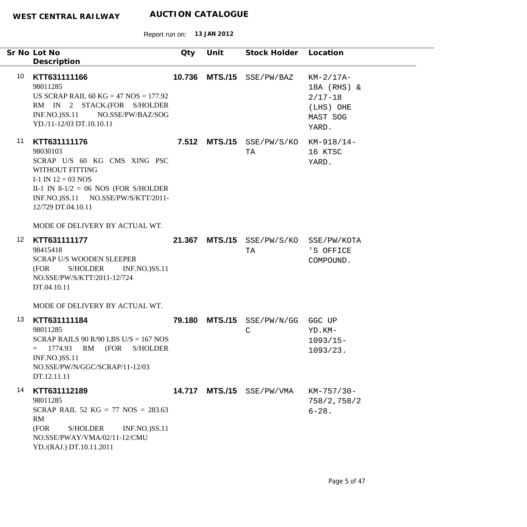|    | Sr No Lot No<br>Description                                                                                                                                                                                                                  | Qty    | Unit           | Stock Holder Location           |                                                                             |
|----|----------------------------------------------------------------------------------------------------------------------------------------------------------------------------------------------------------------------------------------------|--------|----------------|---------------------------------|-----------------------------------------------------------------------------|
| 10 | KTT631111166<br>98011285<br>US SCRAP RAIL 60 KG = 47 NOS = $177.92$<br>RM IN 2 STACK.(FOR S/HOLDER<br>INF.NO.)SS.11 NO.SSE/PW/BAZ/SOG<br>YD./11-12/03 DT.10.10.11                                                                            | 10.736 | <b>MTS./15</b> | SSE/PW/BAZ                      | $KM-2/17A-$<br>18A (RHS) &<br>$2/17 - 18$<br>(LHS) OHE<br>MAST SOG<br>YARD. |
| 11 | KTT631111176<br>98030103<br>SCRAP U/S 60 KG CMS XING PSC<br>WITHOUT FITTING<br>I-1 IN $12 = 03$ NOS<br>II-1 IN $8-1/2 = 06$ NOS (FOR S/HOLDER<br>INF.NO.)SS.11 NO.SSE/PW/S/KTT/2011-<br>12/729 DT.04.10.11<br>MODE OF DELIVERY BY ACTUAL WT. |        |                | 7.512 MTS./15 SSE/PW/S/KO<br>TA | KM-918/14-<br>16 KTSC<br>YARD.                                              |
| 12 | KTT631111177<br>98415418<br><b>SCRAP U/S WOODEN SLEEPER</b><br><b>INF.NO.)SS.11</b><br>S/HOLDER<br>(FOR<br>NO.SSE/PW/S/KTT/2011-12/724<br>DT.04.10.11<br>MODE OF DELIVERY BY ACTUAL WT.                                                      | 21.367 | <b>MTS./15</b> | SSE/PW/S/KO<br>TA               | SSE/PW/KOTA<br>'S OFFICE<br>COMPOUND.                                       |
| 13 | KTT631111184<br>98011285<br>SCRAP RAILS 90 R/90 LBS U/S = $167$ NOS<br>1774.93<br>RM<br>(FOR<br><b>S/HOLDER</b><br>$=$<br>INF.NO.)SS.11<br>NO.SSE/PW/N/GGC/SCRAP/11-12/03<br>DT.12.11.11                                                     | 79.180 | <b>MTS./15</b> | SSE/PW/N/GG<br>$\mathsf{C}$     | GGC UP<br>YD.KM-<br>$1093/15-$<br>1093/23.                                  |
| 14 | KTT631112189<br>98011285<br>SCRAP RAIL 52 KG = 77 NOS = $283.63$<br>RM<br>(FOR<br><b>S/HOLDER</b><br><b>INF.NO.)SS.11</b><br>NO.SSE/PWAY/VMA/02/11-12/CMU<br>YD./(RAJ.) DT.10.11.2011                                                        | 14.717 | <b>MTS./15</b> | SSE/PW/VMA                      | KM-757/30-<br>758/2, 758/2<br>$6 - 28.$                                     |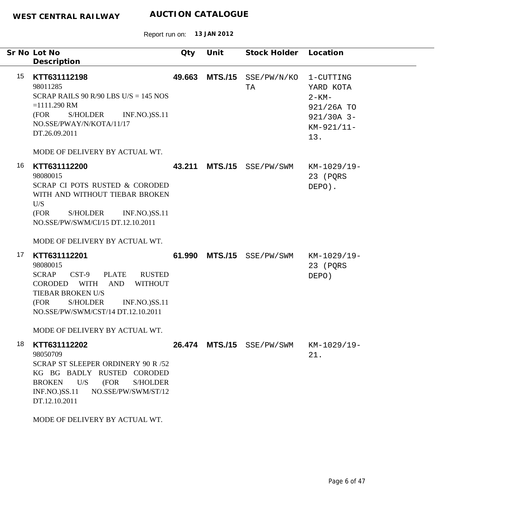|    | Sr No Lot No<br>Description                                                                                                                                                                                                                                                   | Qty    | Unit           | Stock Holder Location |                                                                                         |
|----|-------------------------------------------------------------------------------------------------------------------------------------------------------------------------------------------------------------------------------------------------------------------------------|--------|----------------|-----------------------|-----------------------------------------------------------------------------------------|
| 15 | KTT631112198<br>98011285<br>SCRAP RAILS 90 R/90 LBS U/S = $145$ NOS<br>$=1111.290$ RM<br>S/HOLDER<br><b>INF.NO.)SS.11</b><br>(FOR<br>NO.SSE/PWAY/N/KOTA/11/17<br>DT.26.09.2011<br>MODE OF DELIVERY BY ACTUAL WT.                                                              | 49.663 | <b>MTS./15</b> | SSE/PW/N/KO<br>TA     | 1-CUTTING<br>YARD KOTA<br>$2 - KM -$<br>921/26A TO<br>$921/30A$ 3-<br>KM-921/11-<br>13. |
| 16 | KTT631112200<br>98080015<br>SCRAP CI POTS RUSTED & CORODED<br>WITH AND WITHOUT TIEBAR BROKEN<br>U/S<br>S/HOLDER<br>(FOR<br><b>INF.NO.)SS.11</b><br>NO.SSE/PW/SWM/CI/15 DT.12.10.2011<br>MODE OF DELIVERY BY ACTUAL WT.                                                        | 43.211 | <b>MTS./15</b> | SSE/PW/SWM            | KM-1029/19-<br>23 (PQRS<br>DEPO).                                                       |
| 17 | KTT631112201<br>98080015<br>$CST-9$<br><b>PLATE</b><br><b>SCRAP</b><br><b>RUSTED</b><br>AND<br>CORODED WITH<br><b>WITHOUT</b><br>TIEBAR BROKEN U/S<br>(FOR<br><b>S/HOLDER</b><br><b>INF.NO.)SS.11</b><br>NO.SSE/PW/SWM/CST/14 DT.12.10.2011<br>MODE OF DELIVERY BY ACTUAL WT. | 61.990 | <b>MTS./15</b> | SSE/PW/SWM            | KM-1029/19-<br>23 (PQRS<br>DEPO)                                                        |
| 18 | KTT631112202<br>98050709<br>SCRAP ST SLEEPER ORDINERY 90 R /52<br>KG BG BADLY RUSTED CORODED<br>U/S<br>(FOR<br><b>BROKEN</b><br><b>S/HOLDER</b><br><b>INF.NO.)SS.11</b><br>NO.SSE/PW/SWM/ST/12<br>DT.12.10.2011<br>MODE OF DELIVERY BY ACTUAL WT.                             | 26.474 |                | MTS./15 SSE/PW/SWM    | KM-1029/19-<br>21.                                                                      |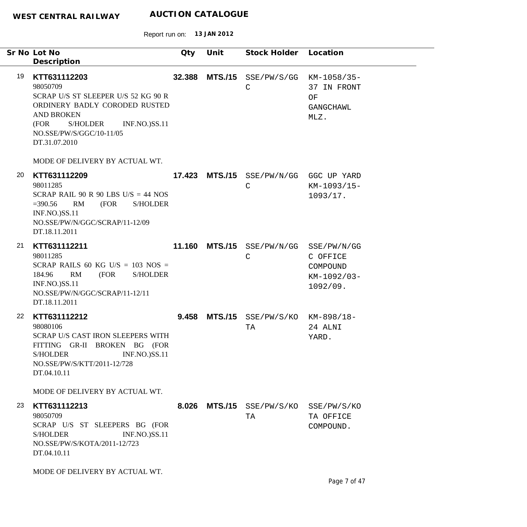|    | Sr No Lot No<br>Description                                                                                                                                                                                    | Qty    | Unit           | Stock Holder Location            |                                                                  |
|----|----------------------------------------------------------------------------------------------------------------------------------------------------------------------------------------------------------------|--------|----------------|----------------------------------|------------------------------------------------------------------|
| 19 | KTT631112203<br>98050709<br>SCRAP U/S ST SLEEPER U/S 52 KG 90 R<br>ORDINERY BADLY CORODED RUSTED<br><b>AND BROKEN</b><br><b>INF.NO.)SS.11</b><br>(FOR<br>S/HOLDER<br>NO.SSE/PW/S/GGC/10-11/05<br>DT.31.07.2010 | 32.388 | <b>MTS./15</b> | SSE/PW/S/GG<br>$\mathsf C$       | KM-1058/35-<br>37 IN FRONT<br>ΟF<br>GANGCHAWL<br>MLZ.            |
|    | MODE OF DELIVERY BY ACTUAL WT.                                                                                                                                                                                 |        |                |                                  |                                                                  |
| 20 | KTT631112209<br>98011285<br>SCRAP RAIL 90 R 90 LBS $U/S = 44$ NOS<br>RM<br>(FOR<br><b>S/HOLDER</b><br>$= 390.56$<br><b>INF.NO.)SS.11</b><br>NO.SSE/PW/N/GGC/SCRAP/11-12/09<br>DT.18.11.2011                    |        | 17.423 MTS./15 | SSE/PW/N/GG<br>$\mathsf C$       | GGC UP YARD<br>KM-1093/15-<br>1093/17.                           |
| 21 | KTT631112211<br>98011285<br>SCRAP RAILS 60 KG U/S = $103$ NOS =<br>RM<br>(FOR<br>184.96<br><b>S/HOLDER</b><br><b>INF.NO.)SS.11</b><br>NO.SSE/PW/N/GGC/SCRAP/11-12/11<br>DT.18.11.2011                          |        | 11.160 MTS./15 | SSE/PW/N/GG<br>$\mathsf{C}$      | SSE/PW/N/GG<br>C OFFICE<br>COMPOUND<br>$KM-1092/03-$<br>1092/09. |
| 22 | KTT631112212<br>98080106<br>SCRAP U/S CAST IRON SLEEPERS WITH<br>FITTING GR-II BROKEN BG (FOR<br>S/HOLDER<br><b>INF.NO.)SS.11</b><br>NO.SSE/PW/S/KTT/2011-12/728<br>DT.04.10.11                                | 9.458  | <b>MTS./15</b> | $SSE/PW/S/KO$ $KM-898/18-$<br>ТA | 24 ALNI<br>YARD.                                                 |
|    | MODE OF DELIVERY BY ACTUAL WT.                                                                                                                                                                                 |        |                |                                  |                                                                  |
| 23 | KTT631112213<br>98050709<br>SCRAP U/S ST SLEEPERS BG (FOR<br><b>INF.NO.)SS.11</b><br><b>S/HOLDER</b><br>NO.SSE/PW/S/KOTA/2011-12/723<br>DT.04.10.11                                                            |        |                | 8.026 MTS./15 SSE/PW/S/KO<br>TA  | SSE/PW/S/KO<br>TA OFFICE<br>COMPOUND.                            |
|    | MODE OF DELIVERY BY ACTUAL WT.                                                                                                                                                                                 |        |                |                                  |                                                                  |
|    |                                                                                                                                                                                                                |        |                |                                  | Page 7 of 47                                                     |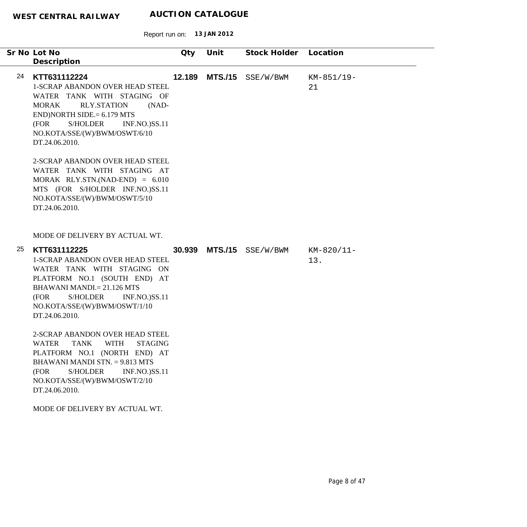Report run on: **13 JAN 2012**

|    | Sr No Lot No                                                                                                                                                                                                                                                  | Qty    | Unit           | Stock Holder        | Location          |
|----|---------------------------------------------------------------------------------------------------------------------------------------------------------------------------------------------------------------------------------------------------------------|--------|----------------|---------------------|-------------------|
|    | Description                                                                                                                                                                                                                                                   |        |                |                     |                   |
| 24 | KTT631112224<br>1-SCRAP ABANDON OVER HEAD STEEL<br>WATER TANK WITH STAGING OF<br><b>RLY.STATION</b><br><b>MORAK</b><br>$(NAD-$<br>$END)NORTH SIDE = 6.179 MTS$<br>(FOR<br>S/HOLDER<br><b>INF.NO.)SS.11</b><br>NO.KOTA/SSE/(W)/BWM/OSWT/6/10<br>DT.24.06.2010. | 12.189 | <b>MTS./15</b> | SSE/W/BWM           | KM-851/19-<br>21  |
|    | 2-SCRAP ABANDON OVER HEAD STEEL<br>WATER TANK WITH STAGING AT<br>$MORAK$ RLY.STN.(NAD-END) = 6.010<br>MTS (FOR S/HOLDER INF.NO.)SS.11<br>NO.KOTA/SSE/(W)/BWM/OSWT/5/10<br>DT.24.06.2010.                                                                      |        |                |                     |                   |
|    | MODE OF DELIVERY BY ACTUAL WT.                                                                                                                                                                                                                                |        |                |                     |                   |
| 25 | KTT631112225<br><b>1-SCRAP ABANDON OVER HEAD STEEL</b><br>WATER TANK WITH STAGING ON<br>PLATFORM NO.1 (SOUTH END) AT<br><b>BHAWANI MANDI.</b> = 21.126 MTS<br>S/HOLDER<br><b>INF.NO.)SS.11</b><br>(FOR<br>NO.KOTA/SSE/(W)/BWM/OSWT/1/10<br>DT.24.06.2010.     | 30.939 |                | $MTS./15$ SSE/W/BWM | KM-820/11-<br>13. |
|    | 2-SCRAP ABANDON OVER HEAD STEEL<br>WATER TANK WITH STAGING<br>PLATFORM NO.1 (NORTH END) AT<br>BHAWANI MANDI STN. = 9.813 MTS<br><b>S/HOLDER</b><br><b>INF.NO.)SS.11</b><br>(FOR<br>NO.KOTA/SSE/(W)/BWM/OSWT/2/10<br>DT.24.06.2010.                            |        |                |                     |                   |
|    | MODE OF DELIVERY BY ACTUAL WT.                                                                                                                                                                                                                                |        |                |                     |                   |

 $\overline{\phantom{0}}$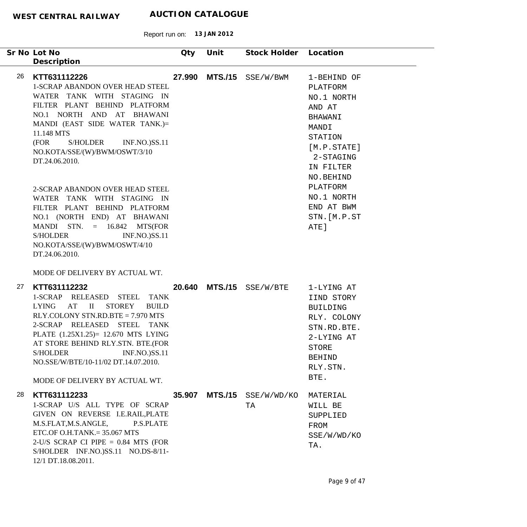|    | Sr No Lot No                                                                                                                                                                                                                                                                                                               | Qty    | Unit           | Stock Holder Location |                                                                                                                                       |
|----|----------------------------------------------------------------------------------------------------------------------------------------------------------------------------------------------------------------------------------------------------------------------------------------------------------------------------|--------|----------------|-----------------------|---------------------------------------------------------------------------------------------------------------------------------------|
|    | Description                                                                                                                                                                                                                                                                                                                |        |                |                       |                                                                                                                                       |
| 26 | KTT631112226<br>1-SCRAP ABANDON OVER HEAD STEEL<br>WATER TANK WITH STAGING IN<br>FILTER PLANT BEHIND PLATFORM<br>NO.1 NORTH AND AT BHAWANI<br>MANDI (EAST SIDE WATER TANK.)=<br>11.148 MTS<br>(FOR<br>S/HOLDER INF.NO.)SS.11<br>NO.KOTA/SSE/(W)/BWM/OSWT/3/10<br>DT.24.06.2010.                                            | 27.990 | <b>MTS./15</b> | SSE/W/BWM             | 1-BEHIND OF<br>PLATFORM<br>NO.1 NORTH<br>AND AT<br>BHAWANI<br>MANDI<br>STATION<br>[M.P. STATE]<br>2-STAGING<br>IN FILTER<br>NO.BEHIND |
|    | 2-SCRAP ABANDON OVER HEAD STEEL<br>WATER TANK WITH STAGING IN<br>FILTER PLANT BEHIND PLATFORM<br>NO.1 (NORTH END) AT BHAWANI<br>MANDI STN. $= 16.842$ MTS(FOR<br>S/HOLDER<br><b>INF.NO.)SS.11</b><br>NO.KOTA/SSE/(W)/BWM/OSWT/4/10<br>DT.24.06.2010.                                                                       |        |                |                       | PLATFORM<br>NO.1 NORTH<br>END AT BWM<br>STN. [M.P.ST<br>ATE]                                                                          |
|    | MODE OF DELIVERY BY ACTUAL WT.                                                                                                                                                                                                                                                                                             |        |                |                       |                                                                                                                                       |
| 27 | KTT631112232<br>1-SCRAP RELEASED STEEL<br><b>TANK</b><br>LYING AT II<br>STOREY<br><b>BUILD</b><br>RLY.COLONY STN.RD.BTE = 7.970 MTS<br>2-SCRAP RELEASED STEEL TANK<br>PLATE (1.25X1.25)= 12.670 MTS LYING<br>AT STORE BEHIND RLY.STN. BTE.(FOR<br>S/HOLDER<br><b>INF.NO.)SS.11</b><br>NO.SSE/W/BTE/10-11/02 DT.14.07.2010. | 20.640 |                | $MTS./15$ SSE/W/BTE   | 1-LYING AT<br>IIND STORY<br><b>BUILDING</b><br>RLY. COLONY<br>STN.RD.BTE.<br>2-LYING AT<br>STORE<br><b>BEHIND</b><br>RLY.STN.         |
|    | MODE OF DELIVERY BY ACTUAL WT.                                                                                                                                                                                                                                                                                             |        |                |                       | BTE.                                                                                                                                  |
| 28 | KTT631112233<br>1-SCRAP U/S ALL TYPE OF SCRAP<br>GIVEN ON REVERSE I.E.RAIL, PLATE<br>M.S.FLAT, M.S.ANGLE,<br>P.S.PLATE<br>ETC.OF O.H.TANK. $= 35.067$ MTS<br>2-U/S SCRAP CI PIPE $= 0.84$ MTS (FOR<br>S/HOLDER INF.NO.)SS.11 NO.DS-8/11-<br>12/1 DT.18.08.2011.                                                            | 35.907 | <b>MTS./15</b> | SSE/W/WD/KO<br>TA     | MATERIAL<br>WILL BE<br>SUPPLIED<br>FROM<br>SSE/W/WD/KO<br>TA.                                                                         |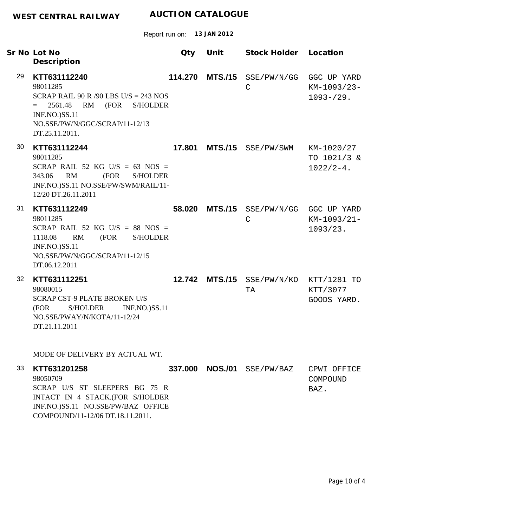Report run on: **13 JAN 2012**

|    | Sr No Lot No<br>Description                                                                                                                                                                   | Qty     | Unit           | Stock Holder Location       |                                                    |
|----|-----------------------------------------------------------------------------------------------------------------------------------------------------------------------------------------------|---------|----------------|-----------------------------|----------------------------------------------------|
| 29 | KTT631112240<br>98011285<br>SCRAP RAIL 90 R /90 LBS U/S = 243 NOS<br>2561.48<br>RM (FOR<br><b>S/HOLDER</b><br>$=$<br><b>INF.NO.)SS.11</b><br>NO.SSE/PW/N/GGC/SCRAP/11-12/13<br>DT.25.11.2011. | 114.270 | <b>MTS./15</b> | SSE/PW/N/GG<br>$\mathsf{C}$ | GGC UP YARD<br>KM-1093/23-<br>$1093 - 29.$         |
| 30 | KTT631112244<br>98011285<br>SCRAP RAIL 52 KG U/S = 63 NOS =<br>343.06<br>RM<br>(FOR<br><b>S/HOLDER</b><br>INF.NO.)SS.11 NO.SSE/PW/SWM/RAIL/11-<br>12/20 DT.26.11.2011                         | 17.801  | <b>MTS./15</b> | SSE/PW/SWM                  | KM-1020/27<br>TO 1021/3 &<br>$1022/2 - 4$ .        |
| 31 | KTT631112249<br>98011285<br>SCRAP RAIL 52 KG U/S = 88 NOS =<br>RM<br>1118.08<br>(FOR<br><b>S/HOLDER</b><br>INF.NO.)SS.11<br>NO.SSE/PW/N/GGC/SCRAP/11-12/15<br>DT.06.12.2011                   |         | 58.020 MTS./15 | $\mathsf C$                 | SSE/PW/N/GG GGC UP YARD<br>KM-1093/21-<br>1093/23. |
| 32 | KTT631112251<br>98080015<br>SCRAP CST-9 PLATE BROKEN U/S<br>(FOR<br>S/HOLDER<br><b>INF.NO.)SS.11</b><br>NO.SSE/PWAY/N/KOTA/11-12/24<br>DT.21.11.2011                                          |         | 12.742 MTS./15 | TA                          | SSE/PW/N/KO KTT/1281 TO<br>KTT/3077<br>GOODS YARD. |
|    | MODE OF DELIVERY BY ACTUAL WT.                                                                                                                                                                |         |                |                             |                                                    |
| 33 | KTT631201258<br>98050709<br>SCRAP U/S ST SLEEPERS BG 75 R<br>INTACT IN 4 STACK.(FOR S/HOLDER<br>INF.NO.)SS.11 NO.SSE/PW/BAZ OFFICE                                                            |         |                | 337.000 NOS./01 SSE/PW/BAZ  | CPWI OFFICE<br>COMPOUND<br>BAZ.                    |

COMPOUND/11-12/06 DT.18.11.2011.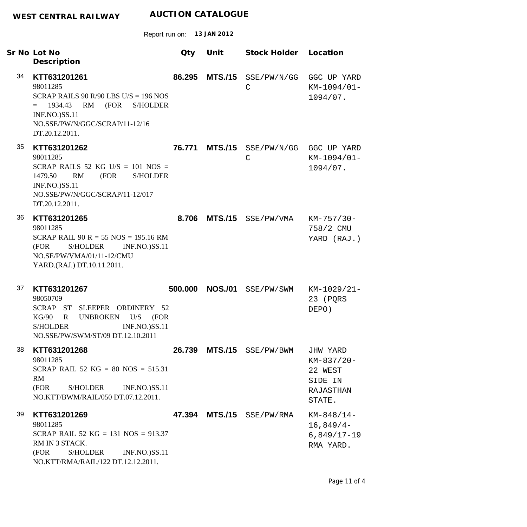|    | Sr No Lot No<br>Description                                                                                                                                                                       | <b>Qty</b> | Unit           | Stock Holder Location       |                                                                     |
|----|---------------------------------------------------------------------------------------------------------------------------------------------------------------------------------------------------|------------|----------------|-----------------------------|---------------------------------------------------------------------|
| 34 | KTT631201261<br>98011285<br>SCRAP RAILS 90 R/90 LBS U/S = $196$ NOS<br>(FOR<br>1934.43<br>RM<br><b>S/HOLDER</b><br>$=$<br>INF.NO.)SS.11<br>NO.SSE/PW/N/GGC/SCRAP/11-12/16<br>DT.20.12.2011.       | 86.295     | <b>MTS./15</b> | SSE/PW/N/GG<br>$\mathsf{C}$ | GGC UP YARD<br>KM-1094/01-<br>1094/07.                              |
| 35 | KTT631201262<br>98011285<br>SCRAP RAILS 52 KG U/S = $101$ NOS =<br>1479.50<br>RM<br>(FOR<br><b>S/HOLDER</b><br>INF.NO.)SS.11<br>NO.SSE/PW/N/GGC/SCRAP/11-12/017<br>DT.20.12.2011.                 | 76.771     | <b>MTS./15</b> | SSE/PW/N/GG<br>$\mathsf{C}$ | GGC UP YARD<br>KM-1094/01-<br>1094/07.                              |
| 36 | KTT631201265<br>98011285<br>SCRAP RAIL $90 R = 55 NOS = 195.16 RM$<br>(FOR<br><b>S/HOLDER</b><br><b>INF.NO.)SS.11</b><br>NO.SE/PW/VMA/01/11-12/CMU<br>YARD.(RAJ.) DT.10.11.2011.                  | 8.706      | <b>MTS./15</b> | SSE/PW/VMA                  | KM-757/30-<br>758/2 CMU<br>YARD (RAJ.)                              |
| 37 | KTT631201267<br>98050709<br>SCRAP ST SLEEPER ORDINERY 52<br>$U/S$ (FOR<br>KG/90<br><b>UNBROKEN</b><br>$\mathbf R$<br><b>S/HOLDER</b><br><b>INF.NO.)SS.11</b><br>NO.SSE/PW/SWM/ST/09 DT.12.10.2011 | 500.000    | <b>NOS./01</b> | SSE/PW/SWM                  | KM-1029/21-<br>23 (PQRS<br>DEPO)                                    |
| 38 | KTT631201268<br>98011285<br>SCRAP RAIL 52 KG = $80$ NOS = 515.31<br>RM<br>(FOR<br>S/HOLDER<br><b>INF.NO.)SS.11</b><br>NO.KTT/BWM/RAIL/050 DT.07.12.2011.                                          |            | 26.739 MTS./15 | SSE/PW/BWM                  | JHW YARD<br>KM-837/20-<br>22 WEST<br>SIDE IN<br>RAJASTHAN<br>STATE. |
| 39 | KTT631201269<br>98011285<br>SCRAP RAIL 52 KG = 131 NOS = $913.37$<br>RM IN 3 STACK.<br>S/HOLDER<br><b>INF.NO.)SS.11</b><br>(FOR<br>NO.KTT/RMA/RAIL/122 DT.12.12.2011.                             |            |                | 47.394 MTS./15 SSE/PW/RMA   | $KM-848/14-$<br>$16,849/4-$<br>$6,849/17-19$<br>RMA YARD.           |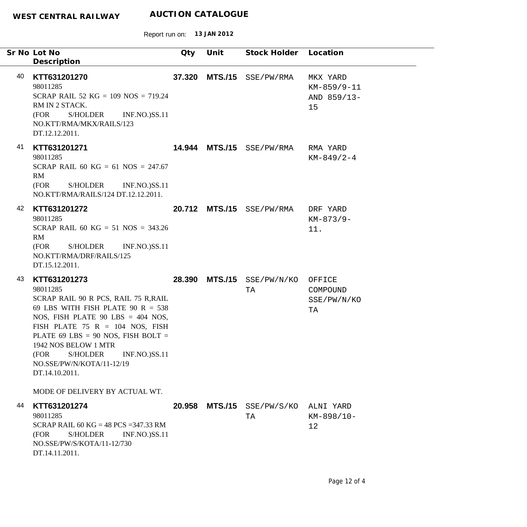|    | Sr No Lot No<br>Description                                                                                                                                                                                                                                                                                                                       | Qty    | Unit           | Stock Holder Location     |                                              |
|----|---------------------------------------------------------------------------------------------------------------------------------------------------------------------------------------------------------------------------------------------------------------------------------------------------------------------------------------------------|--------|----------------|---------------------------|----------------------------------------------|
| 40 | KTT631201270<br>98011285<br>SCRAP RAIL 52 KG = $109$ NOS = 719.24<br>RM IN 2 STACK.<br>S/HOLDER<br><b>INF.NO.)SS.11</b><br>(FOR<br>NO.KTT/RMA/MKX/RAILS/123<br>DT.12.12.2011.                                                                                                                                                                     | 37.320 | <b>MTS./15</b> | SSE/PW/RMA                | MKX YARD<br>KM-859/9-11<br>AND 859/13-<br>15 |
| 41 | KTT631201271<br>98011285<br>SCRAP RAIL 60 KG = 61 NOS = 247.67<br>RM<br>S/HOLDER<br>(FOR<br><b>INF.NO.)SS.11</b><br>NO.KTT/RMA/RAILS/124 DT.12.12.2011.                                                                                                                                                                                           |        |                | 14.944 MTS./15 SSE/PW/RMA | RMA YARD<br>$KM-849/2-4$                     |
| 42 | KTT631201272<br>98011285<br>SCRAP RAIL 60 KG = 51 NOS = 343.26<br>RM<br>S/HOLDER<br><b>INF.NO.)SS.11</b><br>(FOR<br>NO.KTT/RMA/DRF/RAILS/125<br>DT.15.12.2011.                                                                                                                                                                                    |        |                | 20.712 MTS./15 SSE/PW/RMA | DRF YARD<br>$KM-873/9-$<br>11.               |
| 43 | KTT631201273<br>98011285<br>SCRAP RAIL 90 R PCS, RAIL 75 R, RAIL<br>69 LBS WITH FISH PLATE 90 R = $538$<br>NOS, FISH PLATE 90 LBS = $404$ NOS,<br>FISH PLATE 75 R = 104 NOS, FISH<br>PLATE 69 LBS = 90 NOS, FISH BOLT =<br>1942 NOS BELOW 1 MTR<br>(FOR<br><b>S/HOLDER</b><br><b>INF.NO.)SS.11</b><br>NO.SSE/PW/N/KOTA/11-12/19<br>DT.14.10.2011. |        | 28.390 MTS./15 | SSE/PW/N/KO<br>TA         | OFFICE<br>COMPOUND<br>SSE/PW/N/KO<br>TA      |
| 44 | MODE OF DELIVERY BY ACTUAL WT.<br>KTT631201274<br>98011285<br>SCRAP RAIL 60 KG = 48 PCS = 347.33 RM<br>(FOR<br><b>S/HOLDER</b><br><b>INF.NO.)SS.11</b><br>NO.SSE/PW/S/KOTA/11-12/730<br>DT.14.11.2011.                                                                                                                                            | 20.958 | <b>MTS./15</b> | SSE/PW/S/KO<br>TA         | ALNI YARD<br>KM-898/10-<br>12                |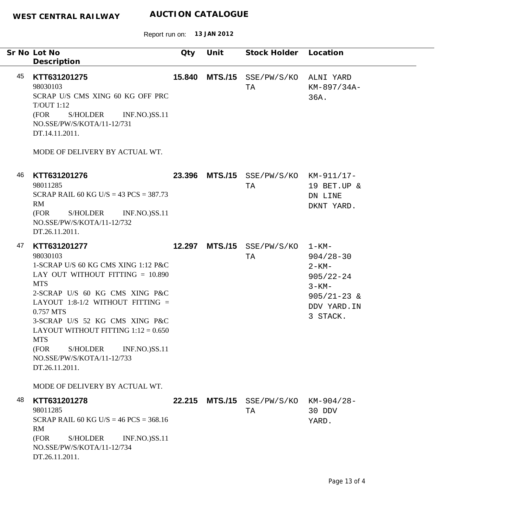Report run on: **13 JAN 2012**

|    | Sr No Lot No<br>Description                                                                                                                                                                                                                                                                                                                                                                   | Qty    | Unit | Stock Holder Location                       |                                                                                                                         |
|----|-----------------------------------------------------------------------------------------------------------------------------------------------------------------------------------------------------------------------------------------------------------------------------------------------------------------------------------------------------------------------------------------------|--------|------|---------------------------------------------|-------------------------------------------------------------------------------------------------------------------------|
| 45 | KTT631201275<br>98030103<br>SCRAP U/S CMS XING 60 KG OFF PRC<br><b>T/OUT 1:12</b><br>(FOR<br>S/HOLDER<br><b>INF.NO.)SS.11</b><br>NO.SSE/PW/S/KOTA/11-12/731<br>DT.14.11.2011.<br>MODE OF DELIVERY BY ACTUAL WT.                                                                                                                                                                               | 15.840 |      | MTS./15 SSE/PW/S/KO<br>TA                   | ALNI YARD<br>KM-897/34A-<br>36A.                                                                                        |
| 46 | KTT631201276<br>98011285<br>SCRAP RAIL 60 KG U/S = 43 PCS = $387.73$<br>RM<br>(FOR<br>S/HOLDER<br><b>INF.NO.)SS.11</b><br>NO.SSE/PW/S/KOTA/11-12/732<br>DT.26.11.2011.                                                                                                                                                                                                                        |        |      | 23.396 MTS./15 SSE/PW/S/KO KM-911/17-<br>TA | 19 BET.UP &<br>DN LINE<br>DKNT YARD.                                                                                    |
| 47 | KTT631201277<br>98030103<br>1-SCRAP U/S 60 KG CMS XING 1:12 P&C<br>LAY OUT WITHOUT FITTING $= 10.890$<br><b>MTS</b><br>2-SCRAP U/S 60 KG CMS XING P&C<br>LAYOUT 1:8-1/2 WITHOUT FITTING $=$<br>0.757 MTS<br>3-SCRAP U/S 52 KG CMS XING P&C<br>LAYOUT WITHOUT FITTING $1:12 = 0.650$<br><b>MTS</b><br>(FOR<br><b>S/HOLDER</b><br>INF.NO.)SS.11<br>NO.SSE/PW/S/KOTA/11-12/733<br>DT.26.11.2011. |        |      | 12.297 MTS./15 SSE/PW/S/KO<br>TA            | $1 - KM -$<br>$904/28 - 30$<br>$2 - KM -$<br>$905/22 - 24$<br>$3 - KM -$<br>$905/21 - 23$ &<br>DDV YARD. IN<br>3 STACK. |
| 48 | MODE OF DELIVERY BY ACTUAL WT.<br>KTT631201278<br>98011285<br>SCRAP RAIL 60 KG U/S = $46$ PCS = $368.16$<br>RM<br>(FOR<br><b>S/HOLDER</b><br><b>INF.NO.)SS.11</b><br>NO.SSE/PW/S/KOTA/11-12/734<br>DT.26.11.2011.                                                                                                                                                                             | 22.215 |      | MTS./15 SSE/PW/S/KO<br>ТA                   | $KM-904/28-$<br>30 DDV<br>YARD.                                                                                         |

÷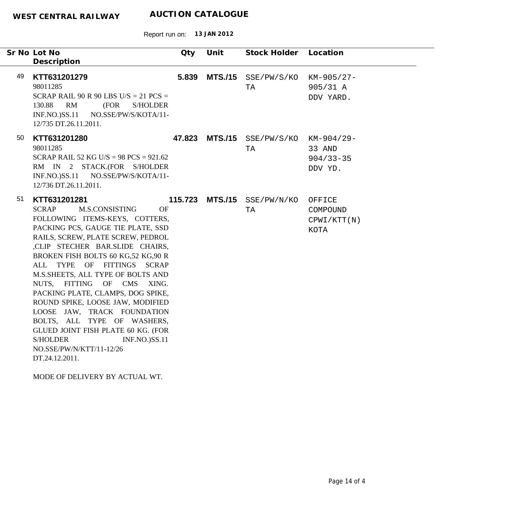Report run on: **13 JAN 2012**

|    | Sr No Lot No<br>Description                                                                                                                                                                                                                                                                                                                                                                                                                                                                                                                                                                                                             | Qty   | Unit            | Stock Holder Location                       |                                           |
|----|-----------------------------------------------------------------------------------------------------------------------------------------------------------------------------------------------------------------------------------------------------------------------------------------------------------------------------------------------------------------------------------------------------------------------------------------------------------------------------------------------------------------------------------------------------------------------------------------------------------------------------------------|-------|-----------------|---------------------------------------------|-------------------------------------------|
| 49 | KTT631201279<br>98011285<br>SCRAP RAIL 90 R 90 LBS U/S = $21$ PCS =<br>130.88<br>RM<br>(FOR<br><b>S/HOLDER</b><br>INF.NO.)SS.11 NO.SSE/PW/S/KOTA/11-<br>12/735 DT.26.11.2011.                                                                                                                                                                                                                                                                                                                                                                                                                                                           | 5.839 | <b>MTS./15</b>  | SSE/PW/S/KO<br>TA                           | KM-905/27-<br>905/31 A<br>DDV YARD.       |
| 50 | KTT631201280<br>98011285<br>SCRAP RAIL 52 KG U/S = $98$ PCS = $921.62$<br>RM IN 2 STACK.(FOR S/HOLDER<br>INF.NO.)SS.11 NO.SSE/PW/S/KOTA/11-<br>12/736 DT.26.11.2011.                                                                                                                                                                                                                                                                                                                                                                                                                                                                    |       |                 | 47.823 MTS./15 SSE/PW/S/KO KM-904/29-<br>TA | 33 AND<br>$904/33 - 35$<br>DDV YD.        |
| 51 | KTT631201281<br><b>SCRAP</b><br>M.S.CONSISTING<br><b>OF</b><br>FOLLOWING ITEMS-KEYS, COTTERS,<br>PACKING PCS, GAUGE TIE PLATE, SSD<br>RAILS, SCREW, PLATE SCREW, PEDROL<br>,CLIP STECHER BAR.SLIDE CHAIRS,<br>BROKEN FISH BOLTS 60 KG,52 KG,90 R<br>ALL<br><b>TYPE</b><br>OF FITTINGS SCRAP<br>M.S.SHEETS, ALL TYPE OF BOLTS AND<br>NUTS, FITTING OF CMS<br>XING.<br>PACKING PLATE, CLAMPS, DOG SPIKE,<br>ROUND SPIKE, LOOSE JAW, MODIFIED<br>LOOSE JAW, TRACK FOUNDATION<br>BOLTS, ALL TYPE OF WASHERS,<br>GLUED JOINT FISH PLATE 60 KG. (FOR<br><b>S/HOLDER</b><br><b>INF.NO.)SS.11</b><br>NO.SSE/PW/N/KTT/11-12/26<br>DT.24.12.2011. |       | 115.723 MTS./15 | SSE/PW/N/KO<br>TA                           | OFFICE<br>COMPOUND<br>CPWI/KTT(N)<br>KOTA |

MODE OF DELIVERY BY ACTUAL WT.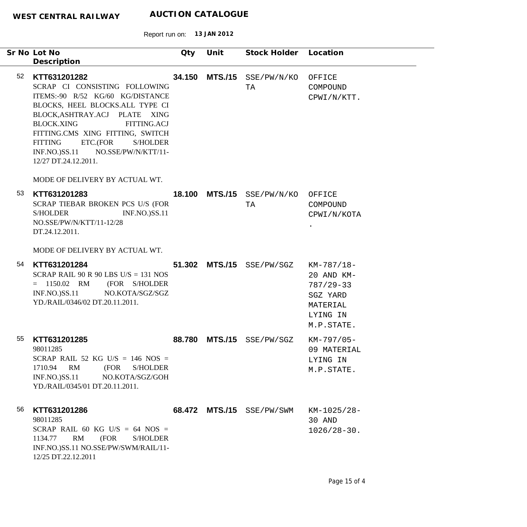|    | Sr No Lot No<br>Description                                                                                                                                                                                                                                                                                                                         | Qty    | Unit           | Stock Holder Location            |                                                                                             |
|----|-----------------------------------------------------------------------------------------------------------------------------------------------------------------------------------------------------------------------------------------------------------------------------------------------------------------------------------------------------|--------|----------------|----------------------------------|---------------------------------------------------------------------------------------------|
| 52 | KTT631201282<br>SCRAP CI CONSISTING FOLLOWING<br>ITEMS:-90 R/52 KG/60 KG/DISTANCE<br>BLOCKS, HEEL BLOCKS.ALL TYPE CI<br>BLOCK, ASHTRAY. ACJ PLATE XING<br><b>BLOCK.XING</b><br><b>FITTING.ACJ</b><br>FITTING.CMS XING FITTING, SWITCH<br>ETC.(FOR<br><b>FITTING</b><br><b>S/HOLDER</b><br>INF.NO.)SS.11 NO.SSE/PW/N/KTT/11-<br>12/27 DT.24.12.2011. | 34.150 | <b>MTS./15</b> | SSE/PW/N/KO<br>TA                | OFFICE<br>COMPOUND<br>CPWI/N/KTT.                                                           |
| 53 | MODE OF DELIVERY BY ACTUAL WT.<br>KTT631201283<br>SCRAP TIEBAR BROKEN PCS U/S (FOR<br><b>INF.NO.)SS.11</b><br><b>S/HOLDER</b><br>NO.SSE/PW/N/KTT/11-12/28<br>DT.24.12.2011.                                                                                                                                                                         |        |                | 18.100 MTS./15 SSE/PW/N/KO<br>TA | OFFICE<br>COMPOUND<br>CPWI/N/KOTA                                                           |
| 54 | MODE OF DELIVERY BY ACTUAL WT.<br>KTT631201284<br>SCRAP RAIL 90 R 90 LBS U/S = 131 NOS<br>$= 1150.02$ RM<br>(FOR S/HOLDER<br><b>INF.NO.)SS.11</b><br>NO.KOTA/SGZ/SGZ<br>YD./RAIL/0346/02 DT.20.11.2011.                                                                                                                                             |        |                | 51.302 MTS./15 SSE/PW/SGZ        | KM-787/18-<br>20 AND KM-<br>$787/29 - 33$<br>SGZ YARD<br>MATERIAL<br>LYING IN<br>M.P.STATE. |
| 55 | KTT631201285<br>98011285<br>SCRAP RAIL 52 KG U/S = 146 NOS =<br>RM<br>1710.94<br>(FOR<br><b>S/HOLDER</b><br>$INF.NO.)$ SS.11<br>NO.KOTA/SGZ/GOH<br>YD./RAIL/0345/01 DT.20.11.2011.                                                                                                                                                                  | 88.780 | <b>MTS./15</b> | SSE/PW/SGZ                       | KM-797/05-<br>09 MATERIAL<br>LYING IN<br>M.P.STATE.                                         |
| 56 | KTT631201286<br>98011285<br>SCRAP RAIL 60 KG U/S = 64 NOS =<br>1134.77<br>RM<br>(FOR<br><b>S/HOLDER</b><br>INF.NO.)SS.11 NO.SSE/PW/SWM/RAIL/11-<br>12/25 DT.22.12.2011                                                                                                                                                                              |        | 68.472 MTS./15 | SSE/PW/SWM                       | KM-1025/28-<br>30 AND<br>$1026/28 - 30.$                                                    |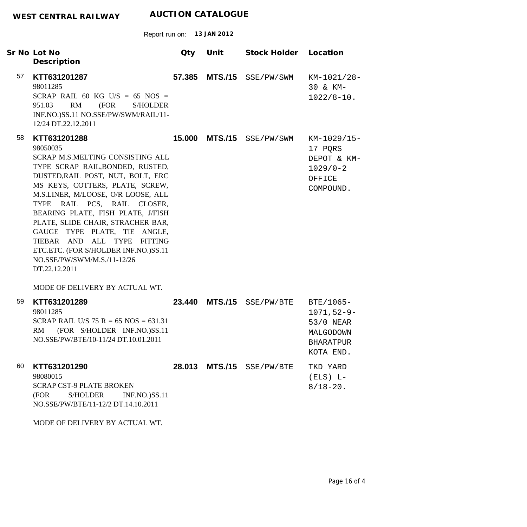|    | Sr No Lot No<br>Description                                                                                                                                                                                                                                                                                                                                                                                                                                                    | Qty    | Unit           | Stock Holder              | Location                                                                                 |
|----|--------------------------------------------------------------------------------------------------------------------------------------------------------------------------------------------------------------------------------------------------------------------------------------------------------------------------------------------------------------------------------------------------------------------------------------------------------------------------------|--------|----------------|---------------------------|------------------------------------------------------------------------------------------|
| 57 | KTT631201287<br>98011285<br>SCRAP RAIL 60 KG U/S = 65 NOS =<br>RM<br>951.03<br>(FOR<br><b>S/HOLDER</b><br>INF.NO.)SS.11 NO.SSE/PW/SWM/RAIL/11-<br>12/24 DT.22.12.2011                                                                                                                                                                                                                                                                                                          | 57.385 |                | MTS./15 SSE/PW/SWM        | KM-1021/28-<br>30 & KM-<br>$1022/8 - 10$ .                                               |
| 58 | KTT631201288<br>98050035<br>SCRAP M.S.MELTING CONSISTING ALL<br>TYPE SCRAP RAIL, BONDED, RUSTED,<br>DUSTED, RAIL POST, NUT, BOLT, ERC<br>MS KEYS, COTTERS, PLATE, SCREW,<br>M.S.LINER, M/LOOSE, O/R LOOSE, ALL<br>TYPE RAIL PCS, RAIL CLOSER,<br>BEARING PLATE, FISH PLATE, J/FISH<br>PLATE, SLIDE CHAIR, STRACHER BAR,<br>GAUGE TYPE PLATE, TIE ANGLE,<br>TIEBAR AND ALL TYPE FITTING<br>ETC.ETC. (FOR S/HOLDER INF.NO.)SS.11<br>NO.SSE/PW/SWM/M.S./11-12/26<br>DT.22.12.2011 |        |                | 15.000 MTS./15 SSE/PW/SWM | KM-1029/15-<br>17 PQRS<br>DEPOT & KM-<br>$1029/0-2$<br>OFFICE<br>COMPOUND.               |
|    | MODE OF DELIVERY BY ACTUAL WT.                                                                                                                                                                                                                                                                                                                                                                                                                                                 |        |                |                           |                                                                                          |
| 59 | KTT631201289<br>98011285<br>SCRAP RAIL U/S 75 R = 65 NOS = 631.31<br>(FOR S/HOLDER INF.NO.)SS.11<br><b>RM</b><br>NO.SSE/PW/BTE/10-11/24 DT.10.01.2011                                                                                                                                                                                                                                                                                                                          |        | 23.440 MTS./15 | SSE/PW/BTE                | BTE/1065-<br>$1071, 52 - 9 -$<br>53/0 NEAR<br>MALGODOWN<br><b>BHARATPUR</b><br>KOTA END. |
| 60 | KTT631201290<br>98080015<br><b>SCRAP CST-9 PLATE BROKEN</b><br>(FOR<br><b>S/HOLDER</b><br><b>INF.NO.)SS.11</b><br>NO.SSE/PW/BTE/11-12/2 DT.14.10.2011<br>MODE OF DELIVERY BY ACTUAL WT.                                                                                                                                                                                                                                                                                        |        |                | 28.013 MTS./15 SSE/PW/BTE | TKD YARD<br>$(ELS) L -$<br>$8/18 - 20$ .                                                 |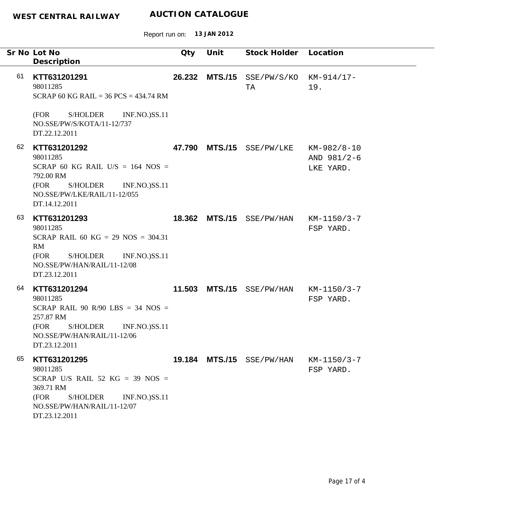Report run on: **13 JAN 2012**

|    | Sr No Lot No                                                                                                                                                                  | Qty    | Unit | Stock Holder Location     |                                         |
|----|-------------------------------------------------------------------------------------------------------------------------------------------------------------------------------|--------|------|---------------------------|-----------------------------------------|
|    | Description                                                                                                                                                                   |        |      |                           |                                         |
| 61 | KTT631201291<br>98011285<br>SCRAP 60 KG RAIL = $36$ PCS = $434.74$ RM                                                                                                         | 26.232 |      | MTS./15 SSE/PW/S/KO<br>TA | KM-914/17-<br>19.                       |
|    | <b>S/HOLDER</b><br><b>INF.NO.)SS.11</b><br>(FOR<br>NO.SSE/PW/S/KOTA/11-12/737<br>DT.22.12.2011                                                                                |        |      |                           |                                         |
| 62 | KTT631201292<br>98011285<br>SCRAP 60 KG RAIL U/S = $164$ NOS =<br>792.00 RM<br>(FOR<br>S/HOLDER<br><b>INF.NO.)SS.11</b><br>NO.SSE/PW/LKE/RAIL/11-12/055<br>DT.14.12.2011      | 47.790 |      | MTS./15 SSE/PW/LKE        | KM-982/8-10<br>AND 981/2-6<br>LKE YARD. |
| 63 | KTT631201293<br>98011285<br>SCRAP RAIL 60 KG = 29 NOS = $304.31$<br>RM<br>S/HOLDER<br><b>INF.NO.)SS.11</b><br>(FOR<br>NO.SSE/PW/HAN/RAIL/11-12/08<br>DT.23.12.2011            | 18.362 |      | MTS./15 SSE/PW/HAN        | KM-1150/3-7<br>FSP YARD.                |
| 64 | KTT631201294<br>98011285<br>SCRAP RAIL 90 R/90 LBS = 34 NOS =<br>257.87 RM<br>(FOR<br><b>S/HOLDER</b><br><b>INF.NO.)SS.11</b><br>NO.SSE/PW/HAN/RAIL/11-12/06<br>DT.23.12.2011 | 11.503 |      | MTS./15 SSE/PW/HAN        | KM-1150/3-7<br>FSP YARD.                |
| 65 | KTT631201295<br>98011285<br>SCRAP U/S RAIL 52 KG = 39 NOS =<br>369.71 RM<br>(FOR<br>S/HOLDER<br><b>INF.NO.)SS.11</b><br>NO.SSE/PW/HAN/RAIL/11-12/07<br>DT.23.12.2011          |        |      | 19.184 MTS./15 SSE/PW/HAN | $KM-1150/3-7$<br>FSP YARD.              |

 $\overline{\phantom{a}}$ 

 $\mathbb{R}^2$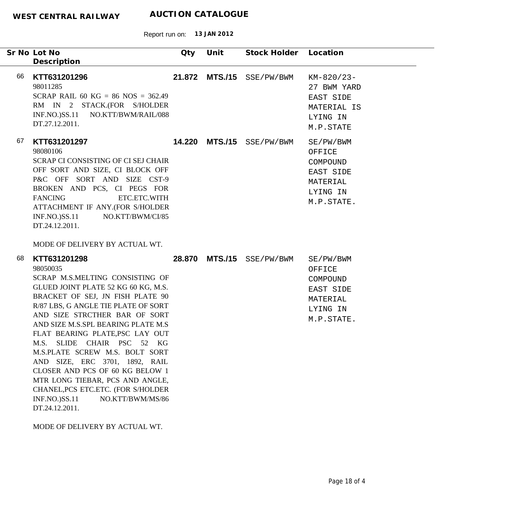|    | Sr No Lot No                                                                                                                                                                                                                                                                                                                                                                                                                                                                                                                                                                                           | Qty | Unit | Stock Holder Location     |                                                                                    |
|----|--------------------------------------------------------------------------------------------------------------------------------------------------------------------------------------------------------------------------------------------------------------------------------------------------------------------------------------------------------------------------------------------------------------------------------------------------------------------------------------------------------------------------------------------------------------------------------------------------------|-----|------|---------------------------|------------------------------------------------------------------------------------|
|    | Description                                                                                                                                                                                                                                                                                                                                                                                                                                                                                                                                                                                            |     |      |                           |                                                                                    |
| 66 | KTT631201296<br>98011285<br>SCRAP RAIL 60 KG = 86 NOS = 362.49<br>RM IN 2 STACK.(FOR S/HOLDER<br>INF.NO.)SS.11 NO.KTT/BWM/RAIL/088<br>DT.27.12.2011.                                                                                                                                                                                                                                                                                                                                                                                                                                                   |     |      | 21.872 MTS./15 SSE/PW/BWM | $KM-820/23-$<br>27 BWM YARD<br>EAST SIDE<br>MATERIAL IS<br>LYING IN<br>M.P.STATE   |
| 67 | KTT631201297<br>98080106<br>SCRAP CI CONSISTING OF CI SEJ CHAIR<br>OFF SORT AND SIZE, CI BLOCK OFF<br>P&C OFF SORT AND SIZE CST-9<br>BROKEN AND PCS, CI PEGS FOR<br><b>FANCING</b><br>ETC.ETC.WITH<br>ATTACHMENT IF ANY.(FOR S/HOLDER<br>$INF.NO.)$ SS.11<br>NO.KTT/BWM/CI/85<br>DT.24.12.2011.<br>MODE OF DELIVERY BY ACTUAL WT.                                                                                                                                                                                                                                                                      |     |      | 14.220 MTS./15 SSE/PW/BWM | SE/PW/BWM<br>OFFICE<br>COMPOUND<br>EAST SIDE<br>MATERIAL<br>LYING IN<br>M.P.STATE. |
| 68 | KTT631201298<br>98050035<br>SCRAP M.S.MELTING CONSISTING OF<br>GLUED JOINT PLATE 52 KG 60 KG, M.S.<br>BRACKET OF SEJ, JN FISH PLATE 90<br>R/87 LBS, G ANGLE TIE PLATE OF SORT<br>AND SIZE STRCTHER BAR OF SORT<br>AND SIZE M.S.SPL BEARING PLATE M.S<br>FLAT BEARING PLATE, PSC LAY OUT<br>M.S. SLIDE CHAIR PSC 52 KG<br>M.S.PLATE SCREW M.S. BOLT SORT<br>AND SIZE, ERC 3701, 1892, RAIL<br>CLOSER AND PCS OF 60 KG BELOW 1<br>MTR LONG TIEBAR, PCS AND ANGLE,<br>CHANEL, PCS ETC. ETC. (FOR S/HOLDER<br><b>INF.NO.)SS.11</b><br>NO.KTT/BWM/MS/86<br>DT.24.12.2011.<br>MODE OF DELIVERY BY ACTUAL WT. |     |      | 28.870 MTS./15 SSE/PW/BWM | SE/PW/BWM<br>OFFICE<br>COMPOUND<br>EAST SIDE<br>MATERIAL<br>LYING IN<br>M.P.STATE. |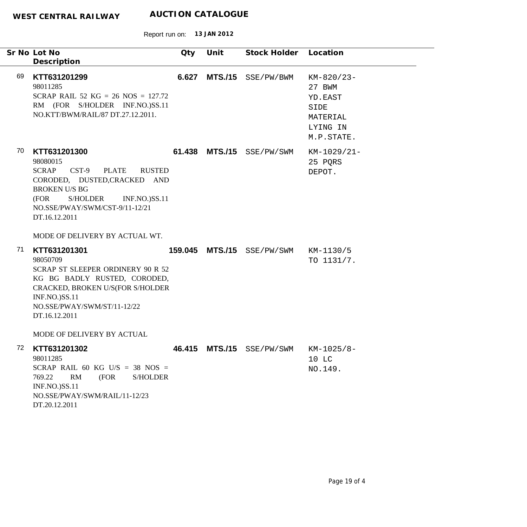|    | Sr No Lot No<br>Description                                                                                                                                                                                                                                                          | Qty     | Unit           | Stock Holder Location |                                                                               |
|----|--------------------------------------------------------------------------------------------------------------------------------------------------------------------------------------------------------------------------------------------------------------------------------------|---------|----------------|-----------------------|-------------------------------------------------------------------------------|
| 69 | KTT631201299<br>98011285<br>SCRAP RAIL 52 KG = 26 NOS = $127.72$<br>RM (FOR S/HOLDER INF.NO.)SS.11<br>NO.KTT/BWM/RAIL/87 DT.27.12.2011.                                                                                                                                              | 6.627   | <b>MTS./15</b> | SSE/PW/BWM            | KM-820/23-<br>27 BWM<br>YD.EAST<br>SIDE<br>MATERIAL<br>LYING IN<br>M.P.STATE. |
| 70 | KTT631201300<br>98080015<br>$CST-9$<br><b>PLATE</b><br><b>SCRAP</b><br><b>RUSTED</b><br>CORODED, DUSTED, CRACKED AND<br><b>BROKEN U/S BG</b><br>(FOR<br><b>S/HOLDER</b><br><b>INF.NO.)SS.11</b><br>NO.SSE/PWAY/SWM/CST-9/11-12/21<br>DT.16.12.2011<br>MODE OF DELIVERY BY ACTUAL WT. |         | 61.438 MTS./15 | SSE/PW/SWM            | KM-1029/21-<br>25 PQRS<br>DEPOT.                                              |
| 71 | KTT631201301<br>98050709<br>SCRAP ST SLEEPER ORDINERY 90 R 52<br>KG BG BADLY RUSTED, CORODED,<br>CRACKED, BROKEN U/S(FOR S/HOLDER<br>INF.NO.)SS.11<br>NO.SSE/PWAY/SWM/ST/11-12/22<br>DT.16.12.2011<br>MODE OF DELIVERY BY ACTUAL                                                     | 159.045 | <b>MTS./15</b> | SSE/PW/SWM            | KM-1130/5<br>TO 1131/7.                                                       |
| 72 | KTT631201302<br>98011285<br>SCRAP RAIL 60 KG U/S = 38 NOS =<br>RM<br>(FOR<br>769.22<br><b>S/HOLDER</b><br>INF.NO.)SS.11<br>NO.SSE/PWAY/SWM/RAIL/11-12/23<br>DT.20.12.2011                                                                                                            | 46.415  |                | MTS./15 SSE/PW/SWM    | KM-1025/8-<br>10 LC<br>NO.149.                                                |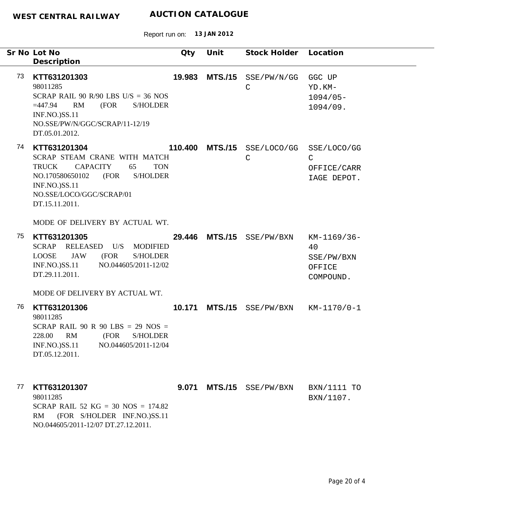|    | Sr No Lot No<br>Description                                                                                                                                                                                   | Qty     | Unit           | Stock Holder Location               |                                                        |
|----|---------------------------------------------------------------------------------------------------------------------------------------------------------------------------------------------------------------|---------|----------------|-------------------------------------|--------------------------------------------------------|
| 73 | KTT631201303<br>98011285<br>SCRAP RAIL 90 R/90 LBS U/S = 36 NOS<br>$=447.94$<br>RM<br>(FOR<br><b>S/HOLDER</b><br><b>INF.NO.)SS.11</b><br>NO.SSE/PW/N/GGC/SCRAP/11-12/19<br>DT.05.01.2012.                     | 19.983  | <b>MTS./15</b> | SSE/PW/N/GG<br>$\mathsf{C}$         | GGC UP<br>YD.KM-<br>$1094/05 -$<br>1094/09.            |
| 74 | KTT631201304<br>SCRAP STEAM CRANE WITH MATCH<br><b>CAPACITY</b><br>65<br>TRUCK<br><b>TON</b><br>NO.170580650102 (FOR<br><b>S/HOLDER</b><br><b>INF.NO.)SS.11</b><br>NO.SSE/LOCO/GGC/SCRAP/01<br>DT.15.11.2011. | 110.400 |                | MTS./15 SSE/LOCO/GG<br>$\mathsf{C}$ | SSE/LOCO/GG<br>C<br>OFFICE/CARR<br>IAGE DEPOT.         |
|    | MODE OF DELIVERY BY ACTUAL WT.                                                                                                                                                                                |         |                |                                     |                                                        |
| 75 | KTT631201305<br>SCRAP RELEASED U/S MODIFIED<br><b>JAW</b><br>LOOSE<br>(FOR<br><b>S/HOLDER</b><br><b>INF.NO.)SS.11</b><br>NO.044605/2011-12/02<br>DT.29.11.2011.                                               | 29.446  |                | MTS./15 SSE/PW/BXN                  | KM-1169/36-<br>40<br>SSE/PW/BXN<br>OFFICE<br>COMPOUND. |
|    | MODE OF DELIVERY BY ACTUAL WT.                                                                                                                                                                                |         |                |                                     |                                                        |
| 76 | KTT631201306<br>98011285<br>SCRAP RAIL 90 R 90 LBS = 29 NOS =<br>RM<br><b>S/HOLDER</b><br>228.00<br>(FOR<br><b>INF.NO.)SS.11</b><br>NO.044605/2011-12/04<br>DT.05.12.2011.                                    | 10.171  |                | $MTS./15$ SSE/PW/BXN KM-1170/0-1    |                                                        |
| 77 | KTT631201307<br>98011285<br>SCRAP RAIL 52 KG = 30 NOS = $174.82$<br>RM<br>(FOR S/HOLDER INF.NO.)SS.11<br>NO.044605/2011-12/07 DT.27.12.2011.                                                                  | 9.071   | <b>MTS./15</b> | SSE/PW/BXN                          | BXN/1111 TO<br>BXN/1107.                               |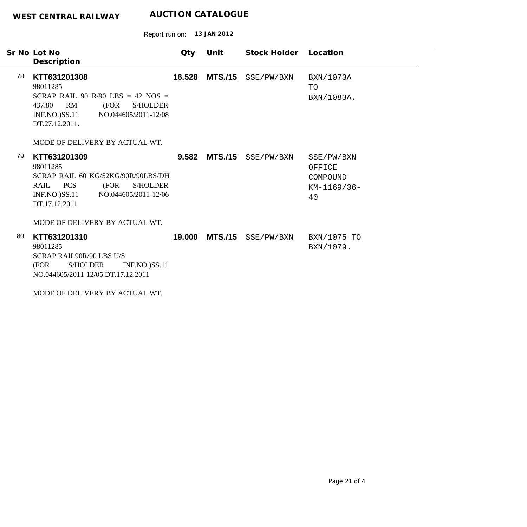| Sr No Lot No                                                                                                                                                                          | Qty    | Unit           | Stock Holder | Location                                              |
|---------------------------------------------------------------------------------------------------------------------------------------------------------------------------------------|--------|----------------|--------------|-------------------------------------------------------|
| Description                                                                                                                                                                           |        |                |              |                                                       |
| 78<br>KTT631201308<br>98011285<br>SCRAP RAIL 90 R/90 LBS = 42 NOS =<br>RM<br>(FOR<br>437.80<br><b>S/HOLDER</b><br>INF.NO.)SS.11 NO.044605/2011-12/08<br>DT.27.12.2011.                | 16.528 | <b>MTS./15</b> | SSE/PW/BXN   | BXN/1073A<br><b>TO</b><br>BXN/1083A.                  |
| MODE OF DELIVERY BY ACTUAL WT.                                                                                                                                                        |        |                |              |                                                       |
| 79<br>KTT631201309<br>98011285<br>SCRAP RAIL 60 KG/52KG/90R/90LBS/DH<br>RAIL<br><b>PCS</b><br>(FOR<br><b>S/HOLDER</b><br>$INF.NO.$ ) $SS.11$<br>NO.044605/2011-12/06<br>DT.17.12.2011 | 9.582  | <b>MTS./15</b> | SSE/PW/BXN   | SSE/PW/BXN<br>OFFICE<br>COMPOUND<br>KM-1169/36-<br>40 |
| MODE OF DELIVERY BY ACTUAL WT.                                                                                                                                                        |        |                |              |                                                       |
| 80<br>KTT631201310<br>98011285<br>SCRAP RAIL90R/90 LBS U/S<br>(FOR<br><b>S/HOLDER</b><br><b>INF.NO.)SS.11</b><br>NO.044605/2011-12/05 DT.17.12.2011                                   | 19.000 | <b>MTS./15</b> | SSE/PW/BXN   | BXN/1075 TO<br>BXN/1079.                              |
| MODE OF DELIVERY BY ACTUAL WT.                                                                                                                                                        |        |                |              |                                                       |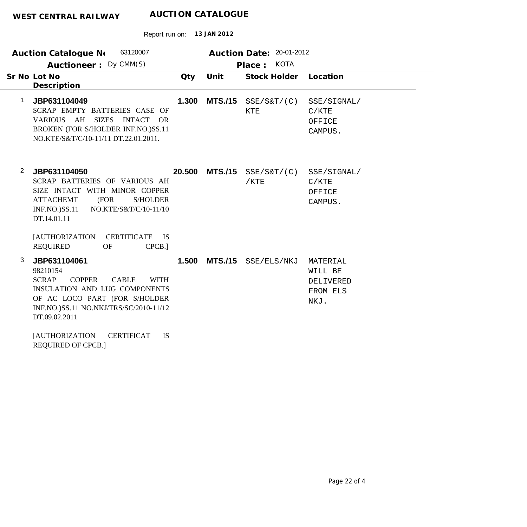| 63120007<br><b>Auction Catalogue No</b><br>Auctioneer: Dy CMM(S)                          |                                                                                                                                                                 |        | Auction Date: 20-01-2012<br><b>KOTA</b><br>Place: |                        |                                                      |  |
|-------------------------------------------------------------------------------------------|-----------------------------------------------------------------------------------------------------------------------------------------------------------------|--------|---------------------------------------------------|------------------------|------------------------------------------------------|--|
| Sr No Lot No<br>Description                                                               |                                                                                                                                                                 | Qty    | Unit                                              | <b>Stock Holder</b>    | Location                                             |  |
| JBP631104049<br>1<br>VARIOUS AH                                                           | SCRAP EMPTY BATTERIES CASE OF<br><b>SIZES</b><br><b>INTACT</b><br><b>OR</b><br>BROKEN (FOR S/HOLDER INF.NO.)SS.11<br>NO.KTE/S&T/C/10-11/11 DT.22.01.2011.       | 1.300  | <b>MTS./15</b>                                    | SSE/SET/(C)<br>KTE     | SSE/SIGNAL/<br>C/KTE<br>OFFICE<br>CAMPUS.            |  |
| $\overline{2}$<br>JBP631104050<br><b>ATTACHEMT</b><br><b>INF.NO.)SS.11</b><br>DT.14.01.11 | SCRAP BATTERIES OF VARIOUS AH<br>SIZE INTACT WITH MINOR COPPER<br>(FOR<br><b>S/HOLDER</b><br>NO.KTE/S&T/C/10-11/10                                              | 20,500 | <b>MTS./15</b>                                    | SSE/SAT/(C)<br>$/$ KTE | SSE/SIGNAL/<br>C/KTE<br>OFFICE<br>CAMPUS.            |  |
| <b>[AUTHORIZATION</b><br><b>REQUIRED</b>                                                  | <b>CERTIFICATE</b><br><b>IS</b><br><b>OF</b><br>CPCB.]                                                                                                          |        |                                                   |                        |                                                      |  |
| 3<br>JBP631104061<br>98210154<br><b>SCRAP</b><br>DT.09.02.2011                            | <b>CABLE</b><br><b>COPPER</b><br><b>WITH</b><br><b>INSULATION AND LUG COMPONENTS</b><br>OF AC LOCO PART (FOR S/HOLDER<br>INF.NO.)SS.11 NO.NKJ/TRS/SC/2010-11/12 | 1.500  | <b>MTS./15</b>                                    | SSE/ELS/NKJ            | MATERIAL<br>WILL BE<br>DELIVERED<br>FROM ELS<br>NKJ. |  |
| <b>[AUTHORIZATION</b><br><b>REQUIRED OF CPCB.]</b>                                        | <b>CERTIFICAT</b><br><b>IS</b>                                                                                                                                  |        |                                                   |                        |                                                      |  |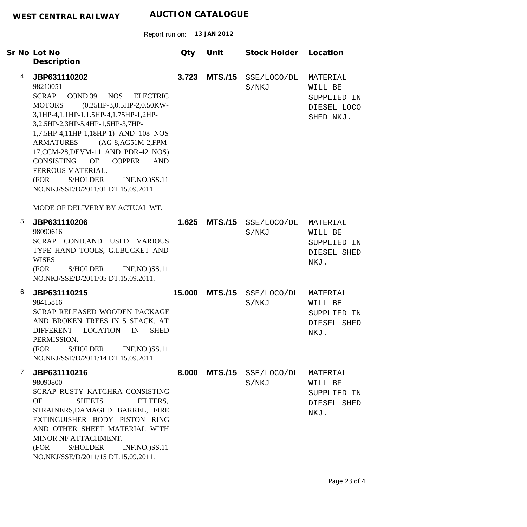Report run on: **13 JAN 2012**

|   | Sr No Lot No<br>Description                                                                                                                                                                                                                                                                                                                                                                                                                                        | Qty    | Unit           | Stock Holder Location        |                                                                |
|---|--------------------------------------------------------------------------------------------------------------------------------------------------------------------------------------------------------------------------------------------------------------------------------------------------------------------------------------------------------------------------------------------------------------------------------------------------------------------|--------|----------------|------------------------------|----------------------------------------------------------------|
| 4 | JBP631110202<br>98210051<br><b>SCRAP</b><br>COND.39 NOS ELECTRIC<br><b>MOTORS</b><br>$(0.25HP-3, 0.5HP-2, 0.50KW-$<br>3,1HP-4,1.1HP-1,1.5HP-4,1.75HP-1,2HP-<br>3,2.5HP-2,3HP-5,4HP-1,5HP-3,7HP-<br>1,7.5HP-4,11HP-1,18HP-1) AND 108 NOS<br>ARMATURES (AG-8,AG51M-2,FPM-<br>17, CCM-28, DEVM-11 AND PDR-42 NOS)<br>CONSISTING<br>OF<br><b>COPPER</b><br>AND<br>FERROUS MATERIAL.<br>S/HOLDER<br>(FOR<br><b>INF.NO.)SS.11</b><br>NO.NKJ/SSE/D/2011/01 DT.15.09.2011. | 3.723  | <b>MTS./15</b> | SSE/LOCO/DL<br>S/NKJ         | MATERIAL<br>WILL BE<br>SUPPLIED IN<br>DIESEL LOCO<br>SHED NKJ. |
|   | MODE OF DELIVERY BY ACTUAL WT.                                                                                                                                                                                                                                                                                                                                                                                                                                     |        |                |                              |                                                                |
| 5 | JBP631110206<br>98090616<br>SCRAP COND.AND USED VARIOUS<br>TYPE HAND TOOLS, G.I.BUCKET AND<br><b>WISES</b><br>(FOR<br><b>S/HOLDER</b><br><b>INF.NO.)SS.11</b><br>NO.NKJ/SSE/D/2011/05 DT.15.09.2011.                                                                                                                                                                                                                                                               | 1.625  |                | MTS./15 SSE/LOCO/DL<br>S/NKJ | MATERIAL<br>WILL BE<br>SUPPLIED IN<br>DIESEL SHED<br>NKJ.      |
| 6 | JBP631110215<br>98415816<br>SCRAP RELEASED WOODEN PACKAGE<br>AND BROKEN TREES IN 5 STACK. AT<br><b>LOCATION</b><br><b>DIFFERENT</b><br>IN<br><b>SHED</b><br>PERMISSION.<br><b>S/HOLDER</b><br><b>INF.NO.)SS.11</b><br>(FOR<br>NO.NKJ/SSE/D/2011/14 DT.15.09.2011.                                                                                                                                                                                                  | 15.000 |                | MTS./15 SSE/LOCO/DL<br>S/NKJ | MATERIAL<br>WILL BE<br>SUPPLIED IN<br>DIESEL SHED<br>NKJ.      |
| 7 | JBP631110216<br>98090800<br>SCRAP RUSTY KATCHRA CONSISTING<br>OF<br><b>SHEETS</b><br>FILTERS,<br>STRAINERS, DAMAGED BARREL, FIRE<br>EXTINGUISHER BODY PISTON RING<br>AND OTHER SHEET MATERIAL WITH<br>MINOR NF ATTACHMENT.<br><b>S/HOLDER</b><br>(FOR<br><b>INF.NO.)SS.11</b><br>NO.NKJ/SSE/D/2011/15 DT.15.09.2011.                                                                                                                                               | 8.000  | <b>MTS./15</b> | SSE/LOCO/DL<br>S/NKJ         | MATERIAL<br>WILL BE<br>SUPPLIED IN<br>DIESEL SHED<br>NKJ.      |

 $\overline{\phantom{0}}$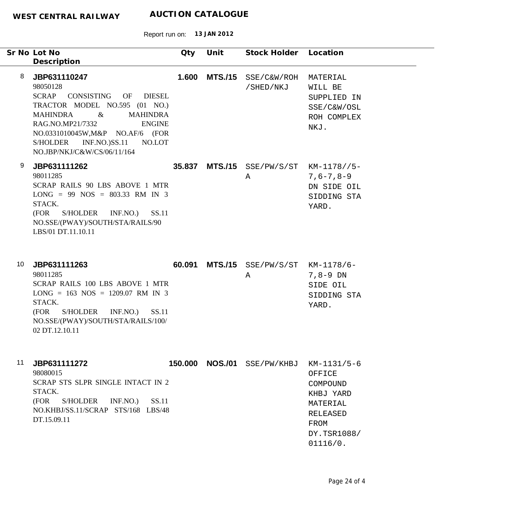Report run on: **13 JAN 2012**

|    | Sr No Lot No<br>Description                                                                                                                                                                                                                                                           | Qty   | Unit           | Stock Holder Location                       |                                                                                                           |
|----|---------------------------------------------------------------------------------------------------------------------------------------------------------------------------------------------------------------------------------------------------------------------------------------|-------|----------------|---------------------------------------------|-----------------------------------------------------------------------------------------------------------|
| 8  | JBP631110247<br>98050128<br>SCRAP CONSISTING OF DIESEL<br>TRACTOR MODEL NO.595 (01 NO.)<br>$\alpha$<br><b>MAHINDRA</b><br><b>MAHINDRA</b><br>RAG.NO.MP21/7332<br><b>ENGINE</b><br>NO.0331010045W, M&P NO.AF/6 (FOR<br>S/HOLDER INF.NO.)SS.11<br>NO.LOT<br>NO.JBP/NKJ/C&W/CS/06/11/164 | 1.600 | <b>MTS./15</b> | SSE/C&W/ROH<br>/SHED/NKJ                    | MATERIAL<br>WILL BE<br>SUPPLIED IN<br>SSE/C&W/OSL<br>ROH COMPLEX<br>NKJ.                                  |
| 9  | JBP631111262<br>98011285<br>SCRAP RAILS 90 LBS ABOVE 1 MTR<br>$LONG = 99 NOS = 803.33 RM IN 3$<br>STACK.<br>SS.11<br>(FOR<br>S/HOLDER INF.NO.)<br>NO.SSE/(PWAY)/SOUTH/STA/RAILS/90<br>LBS/01 DT.11.10.11                                                                              |       |                | 35.837 MTS./15 SSE/PW/S/ST KM-1178//5-<br>Α | $7,6 - 7,8 - 9$<br>DN SIDE OIL<br>SIDDING STA<br>YARD.                                                    |
| 10 | JBP631111263<br>98011285<br>SCRAP RAILS 100 LBS ABOVE 1 MTR<br>$LONG = 163 NOS = 1209.07 RM IN 3$<br>STACK.<br>(FOR<br>S/HOLDER INF.NO.)<br>SS.11<br>NO.SSE/(PWAY)/SOUTH/STA/RAILS/100/<br>02 DT.12.10.11                                                                             |       |                | 60.091 MTS./15 SSE/PW/S/ST KM-1178/6-<br>Α  | $7,8-9$ DN<br>SIDE OIL<br>SIDDING STA<br>YARD.                                                            |
| 11 | JBP631111272<br>98080015<br>SCRAP STS SLPR SINGLE INTACT IN 2<br>STACK.<br>INF.NO.<br>SS.11<br>(FOR<br>S/HOLDER<br>NO.KHBJ/SS.11/SCRAP STS/168 LBS/48<br>DT.15.09.11                                                                                                                  |       |                | 150.000 NOS./01 SSE/PW/KHBJ                 | KM-1131/5-6<br>OFFICE<br>COMPOUND<br>KHBJ YARD<br>MATERIAL<br>RELEASED<br>FROM<br>DY.TSR1088/<br>01116/0. |

÷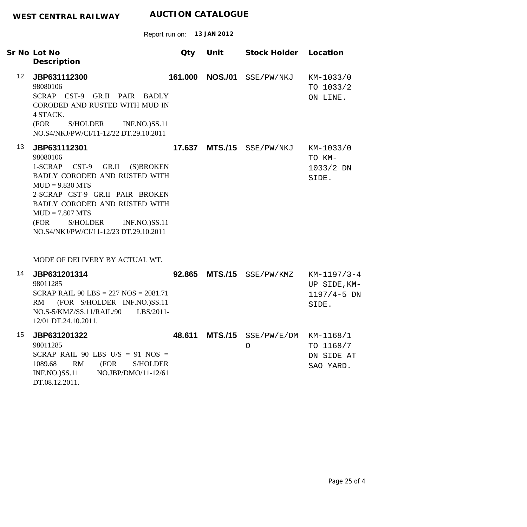|                  | Sr No Lot No<br>Description                                                                                                                                                                                                                                                                            | Qty | Unit            | Stock Holder Location                              |                                                           |
|------------------|--------------------------------------------------------------------------------------------------------------------------------------------------------------------------------------------------------------------------------------------------------------------------------------------------------|-----|-----------------|----------------------------------------------------|-----------------------------------------------------------|
| 12 <sup>12</sup> | JBP631112300<br>98080106<br>SCRAP CST-9 GR.II PAIR BADLY<br>CORODED AND RUSTED WITH MUD IN<br>4 STACK.<br>(FOR<br>S/HOLDER<br><b>INF.NO.)SS.11</b><br>NO.S4/NKJ/PW/CI/11-12/22 DT.29.10.2011                                                                                                           |     | 161.000 NOS./01 | SSE/PW/NKJ                                         | KM-1033/0<br>TO 1033/2<br>ON LINE.                        |
| 13               | JBP631112301<br>98080106<br>1-SCRAP<br>$CST-9$ GR.II<br>(S)BROKEN<br>BADLY CORODED AND RUSTED WITH<br>$MUD = 9.830 MTS$<br>2-SCRAP CST-9 GR.II PAIR BROKEN<br>BADLY CORODED AND RUSTED WITH<br>$MUD = 7.807 MTS$<br>(FOR<br>S/HOLDER<br><b>INF.NO.)SS.11</b><br>NO.S4/NKJ/PW/CI/11-12/23 DT.29.10.2011 |     |                 | 17.637 MTS./15 SSE/PW/NKJ                          | KM-1033/0<br>TO KM-<br>1033/2 DN<br>SIDE.                 |
| 14               | MODE OF DELIVERY BY ACTUAL WT.<br>JBP631201314<br>98011285<br>SCRAP RAIL 90 LBS = $227$ NOS = $2081.71$<br>(FOR S/HOLDER INF.NO.)SS.11<br>RM<br>NO.S-5/KMZ/SS.11/RAIL/90<br>LBS/2011-<br>12/01 DT.24.10.2011.                                                                                          |     |                 | 92.865 MTS./15 SSE/PW/KMZ                          | $KM-1197/3-4$<br>UP SIDE, KM-<br>$1197/4 - 5$ DN<br>SIDE. |
| 15               | JBP631201322<br>98011285<br>SCRAP RAIL 90 LBS U/S = 91 NOS =<br>1089.68<br>RM<br>(FOR<br><b>S/HOLDER</b><br>$INF.NO.$ ) $SS.11$<br>NO.JBP/DMO/11-12/61<br>DT.08.12.2011.                                                                                                                               |     |                 | 48.611 MTS./15 SSE/PW/E/DM KM-1168/1<br>$\bigcirc$ | TO 1168/7<br>DN SIDE AT<br>SAO YARD.                      |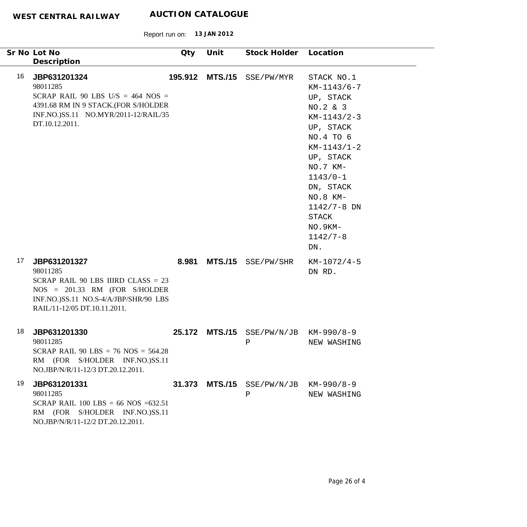|    | Sr No Lot No<br>Description                                                                                                                                                | Qty     | Unit           | Stock Holder Location                               |                                                                                                                                                                                                                                                  |
|----|----------------------------------------------------------------------------------------------------------------------------------------------------------------------------|---------|----------------|-----------------------------------------------------|--------------------------------------------------------------------------------------------------------------------------------------------------------------------------------------------------------------------------------------------------|
| 16 | JBP631201324<br>98011285<br>SCRAP RAIL 90 LBS U/S = $464$ NOS =<br>4391.68 RM IN 9 STACK.(FOR S/HOLDER<br>INF.NO.)SS.11 NO.MYR/2011-12/RAIL/35<br>DT.10.12.2011.           | 195.912 | <b>MTS./15</b> | SSE/PW/MYR                                          | STACK NO.1<br>$KM-1143/6-7$<br>UP, STACK<br>NO.2 & 3<br>$KM-1143/2-3$<br>UP, STACK<br>NO.4 TO 6<br>$KM-1143/1-2$<br>UP, STACK<br>NO.7 KM-<br>$1143/0 - 1$<br>DN, STACK<br>NO.8 KM-<br>$1142/7 - 8$ DN<br>STACK<br>NO.9KM-<br>$1142/7 - 8$<br>DN. |
| 17 | JBP631201327<br>98011285<br>SCRAP RAIL 90 LBS IIIRD CLASS $= 23$<br>NOS = 201.33 RM (FOR S/HOLDER<br>INF.NO.)SS.11 NO.S-4/A/JBP/SHR/90 LBS<br>RAIL/11-12/05 DT.10.11.2011. |         | 8.981 MTS./15  | SSE/PW/SHR                                          | $KM-1072/4-5$<br>DN RD.                                                                                                                                                                                                                          |
| 18 | JBP631201330<br>98011285<br>SCRAP RAIL 90 LBS = $76$ NOS = $564.28$<br>RM (FOR S/HOLDER INF.NO.)SS.11<br>NO.JBP/N/R/11-12/3 DT.20.12.2011.                                 | 25.172  |                | $MTS.$ /15 $SSE/PW/N/JB KN-990/8-9$<br>$\mathsf{P}$ | NEW WASHING                                                                                                                                                                                                                                      |
| 19 | JBP631201331<br>98011285<br>SCRAP RAIL 100 LBS = 66 NOS = 632.51<br>RM (FOR S/HOLDER INF.NO.)SS.11<br>NO.JBP/N/R/11-12/2 DT.20.12.2011.                                    | 31.373  |                | $MTS. / 15$ SSE/PW/N/JB KM-990/8-9<br>Ρ             | NEW WASHING                                                                                                                                                                                                                                      |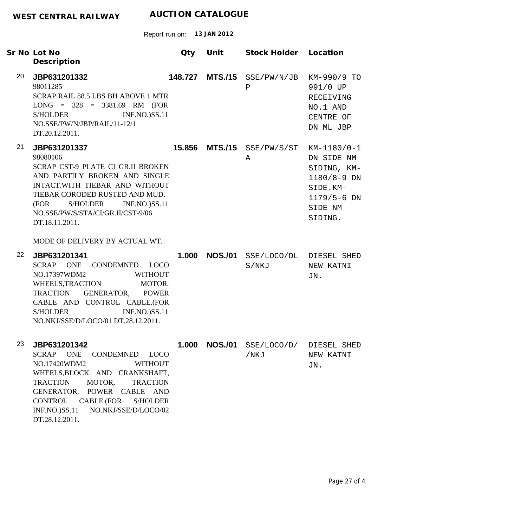|    | Sr No Lot No<br>Description                                                                                                                                                                                                                                                                                                                  | Qty     | Unit           | Stock Holder Location                  |                                                                                                                  |
|----|----------------------------------------------------------------------------------------------------------------------------------------------------------------------------------------------------------------------------------------------------------------------------------------------------------------------------------------------|---------|----------------|----------------------------------------|------------------------------------------------------------------------------------------------------------------|
| 20 | JBP631201332<br>98011285<br>SCRAP RAIL 88.5 LBS BH ABOVE 1 MTR<br>$LONG = 328 = 3381.69$ RM (FOR<br><b>INF.NO.)SS.11</b><br>S/HOLDER<br>NO.SSE/PW/N/JBP/RAIL/11-12/1<br>DT.20.12.2011.                                                                                                                                                       | 148.727 |                | $MTS./15$ SSE/PW/N/JB<br>Ρ             | KM-990/9 TO<br>991/0 UP<br>RECEIVING<br>NO.1 AND<br>CENTRE OF<br>DN ML JBP                                       |
| 21 | JBP631201337<br>98080106<br>SCRAP CST-9 PLATE CI GR.II BROKEN<br>AND PARTILY BROKEN AND SINGLE<br>INTACT.WITH TIEBAR AND WITHOUT<br>TIEBAR CORODED RUSTED AND MUD.<br>S/HOLDER INF.NO.)SS.11<br>(FOR<br>NO.SSE/PW/S/STA/CI/GR.II/CST-9/06<br>DT.18.11.2011.                                                                                  |         |                | <b>15.856 MTS./15</b> SSE/PW/S/ST<br>Α | KM-1180/0-1<br>DN SIDE NM<br>SIDING, KM-<br>$1180/8 - 9$ DN<br>SIDE.KM-<br>$1179/5 - 6$ DN<br>SIDE NM<br>SIDING. |
| 22 | MODE OF DELIVERY BY ACTUAL WT.<br>JBP631201341<br>ONE<br>SCRAP<br>CONDEMNED LOCO<br>NO.17397WDM2<br><b>WITHOUT</b><br>WHEELS, TRACTION MOTOR,<br>GENERATOR,<br>TRACTION<br><b>POWER</b><br>CABLE AND CONTROL CABLE.(FOR<br><b>S/HOLDER</b><br><b>INF.NO.)SS.11</b><br>NO.NKJ/SSE/D/LOCO/01 DT.28.12.2011.                                    | 1.000   | <b>NOS./01</b> | SSE/LOCO/DL DIESEL SHED<br>S/NKJ       | NEW KATNI<br>JN.                                                                                                 |
| 23 | JBP631201342<br><b>SCRAP</b><br><b>ONE</b><br><b>LOCO</b><br>CONDEMNED<br>NO.17420WDM2<br><b>WITHOUT</b><br>WHEELS, BLOCK AND CRANKSHAFT,<br><b>TRACTION</b><br>MOTOR,<br><b>TRACTION</b><br>GENERATOR, POWER CABLE AND<br>CABLE.(FOR<br><b>S/HOLDER</b><br><b>CONTROL</b><br><b>INF.NO.)SS.11</b><br>NO.NKJ/SSE/D/LOCO/02<br>DT.28.12.2011. | 1.000   | <b>NOS./01</b> | SSE/LOCO/D/<br>/NKJ                    | DIESEL SHED<br>NEW KATNI<br>JN.                                                                                  |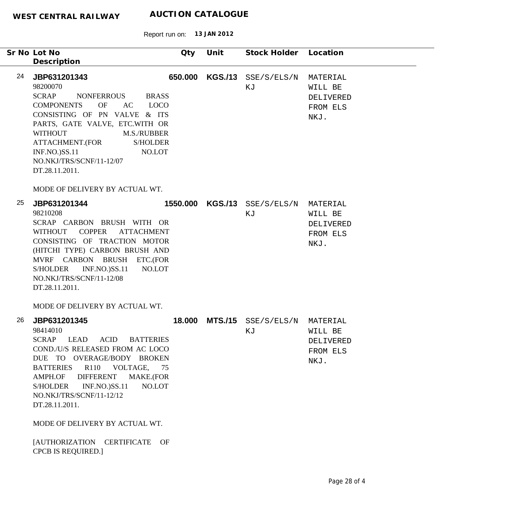Report run on: **13 JAN 2012**

| Sr No Lot No | Description                                                                                                                                                                                                                                                                                                                                                                                                                                               | Qty     | Unit | Stock Holder Location              |                                                      |
|--------------|-----------------------------------------------------------------------------------------------------------------------------------------------------------------------------------------------------------------------------------------------------------------------------------------------------------------------------------------------------------------------------------------------------------------------------------------------------------|---------|------|------------------------------------|------------------------------------------------------|
| 24           | JBP631201343<br>98200070<br><b>SCRAP</b><br>NONFERROUS<br><b>BRASS</b><br><b>COMPONENTS</b><br><b>OF</b><br><b>LOCO</b><br>AC<br>CONSISTING OF PN VALVE & ITS<br>PARTS, GATE VALVE, ETC.WITH OR<br><b>WITHOUT</b><br>M.S./RUBBER<br>ATTACHMENT.(FOR<br><b>S/HOLDER</b><br><b>INF.NO.)SS.11</b><br>NO.LOT<br>NO.NKJ/TRS/SCNF/11-12/07<br>DT.28.11.2011.<br>MODE OF DELIVERY BY ACTUAL WT.                                                                  | 650.000 |      | KGS./13 SSE/S/ELS/N<br>ΚJ          | MATERIAL<br>WILL BE<br>DELIVERED<br>FROM ELS<br>NKJ. |
| 25           | JBP631201344<br>98210208<br>SCRAP CARBON BRUSH WITH OR<br>WITHOUT COPPER<br><b>ATTACHMENT</b><br>CONSISTING OF TRACTION MOTOR<br>(HITCHI TYPE) CARBON BRUSH AND<br>MVRF CARBON BRUSH ETC.(FOR<br><b>INF.NO.)SS.11</b><br>NO.LOT<br>S/HOLDER<br>NO.NKJ/TRS/SCNF/11-12/08<br>DT.28.11.2011.<br>MODE OF DELIVERY BY ACTUAL WT.                                                                                                                               |         |      | 1550.000 KGS./13 SSE/S/ELS/N<br>ΚJ | MATERIAL<br>WILL BE<br>DELIVERED<br>FROM ELS<br>NKJ. |
| 26           | JBP631201345<br>98414010<br><b>SCRAP</b><br>LEAD<br><b>ACID</b><br><b>BATTERIES</b><br>COND./U/S RELEASED FROM AC LOCO<br>DUE TO OVERAGE/BODY BROKEN<br>R <sub>110</sub><br><b>BATTERIES</b><br>VOLTAGE,<br>75<br><b>DIFFERENT</b><br>MAKE.(FOR<br>AMPH.OF<br>NO.LOT<br>S/HOLDER<br><b>INF.NO.)SS.11</b><br>NO.NKJ/TRS/SCNF/11-12/12<br>DT.28.11.2011.<br>MODE OF DELIVERY BY ACTUAL WT.<br>[AUTHORIZATION CERTIFICATE<br>OF<br><b>CPCB IS REQUIRED.]</b> | 18.000  |      | MTS./15 SSE/S/ELS/N<br>ΚJ          | MATERIAL<br>WILL BE<br>DELIVERED<br>FROM ELS<br>NKJ. |

 $\overline{\phantom{0}}$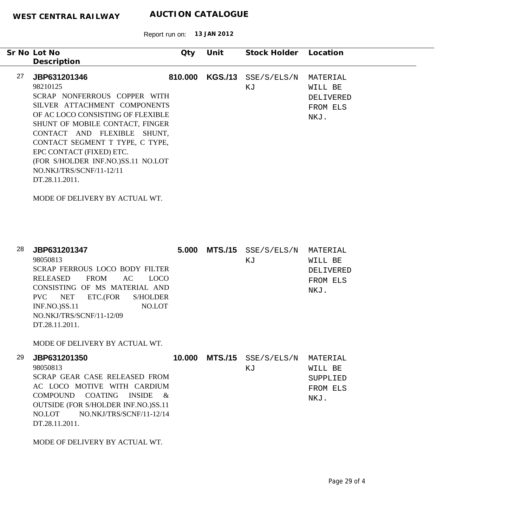Report run on: **13 JAN 2012**

|    | Sr No Lot No                       | Qty     | Unit           | Stock Holder | Location  |
|----|------------------------------------|---------|----------------|--------------|-----------|
|    | Description                        |         |                |              |           |
| 27 | JBP631201346                       | 810,000 | <b>KGS./13</b> | SSE/S/ELS/N  | MATERIAL  |
|    | 98210125                           |         |                | ΚJ           | WILL BE   |
|    | SCRAP NONFERROUS COPPER WITH       |         |                |              | DELIVERED |
|    | SILVER ATTACHMENT COMPONENTS       |         |                |              | FROM ELS  |
|    | OF AC LOCO CONSISTING OF FLEXIBLE  |         |                |              | NKJ.      |
|    | SHUNT OF MOBILE CONTACT, FINGER    |         |                |              |           |
|    | CONTACT AND FLEXIBLE SHUNT,        |         |                |              |           |
|    | CONTACT SEGMENT T TYPE, C TYPE,    |         |                |              |           |
|    | EPC CONTACT (FIXED) ETC.           |         |                |              |           |
|    | (FOR S/HOLDER INF.NO.)SS.11 NO.LOT |         |                |              |           |
|    | NO.NKJ/TRS/SCNF/11-12/11           |         |                |              |           |
|    | DT.28.11.2011.                     |         |                |              |           |
|    |                                    |         |                |              |           |
|    | MODE OF DELIVERY BY ACTUAL WT.     |         |                |              |           |

| 28 | JBP631201347                                            | 5.000  | <b>MTS./15</b> | SSE/S/ELS/N | MATERIAL  |
|----|---------------------------------------------------------|--------|----------------|-------------|-----------|
|    | 98050813                                                |        |                | ΚJ          | WILL BE   |
|    | SCRAP FERROUS LOCO BODY FILTER                          |        |                |             | DELIVERED |
|    | <b>RELEASED</b><br><b>FROM</b><br>AC.<br><b>LOCO</b>    |        |                |             | FROM ELS  |
|    | CONSISTING OF MS MATERIAL AND                           |        |                |             | NKJ.      |
|    | ETC.(FOR<br>NET<br>S/HOLDER<br>PVC                      |        |                |             |           |
|    | <b>INF.NO.)SS.11</b><br>NO.LOT                          |        |                |             |           |
|    | NO.NKJ/TRS/SCNF/11-12/09                                |        |                |             |           |
|    | DT.28.11.2011.                                          |        |                |             |           |
|    | MODE OF DELIVERY BY ACTUAL WT.                          |        |                |             |           |
| 29 | JBP631201350                                            | 10.000 | <b>MTS./15</b> | SSE/S/ELS/N | MATERIAL  |
|    | 98050813                                                |        |                | ΚJ          | WILL BE   |
|    | SCRAP GEAR CASE RELEASED FROM                           |        |                |             | SUPPLIED  |
|    | AC LOCO MOTIVE<br>WITH CARDIUM                          |        |                |             | FROM ELS  |
|    | <b>COATING</b><br><b>COMPOUND</b><br><b>INSIDE</b><br>& |        |                |             | NTK.T     |

MODE OF DELIVERY BY ACTUAL WT.

DT.28.11.2011.

OUTSIDE (FOR S/HOLDER INF.NO.)SS.11 NO.LOT NO.NKJ/TRS/SCNF/11-12/14 NKJ.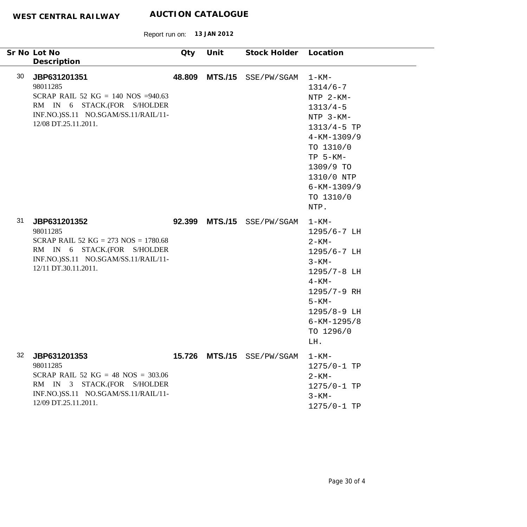|    | Sr No Lot No                                                                                                                                                        | Qty    | Unit           | Stock Holder Location      |                                                                                                                                                                                                        |
|----|---------------------------------------------------------------------------------------------------------------------------------------------------------------------|--------|----------------|----------------------------|--------------------------------------------------------------------------------------------------------------------------------------------------------------------------------------------------------|
|    | Description                                                                                                                                                         |        |                |                            |                                                                                                                                                                                                        |
| 30 | JBP631201351<br>98011285<br>SCRAP RAIL 52 KG = 140 NOS = 940.63<br>RM IN 6 STACK.(FOR S/HOLDER<br>INF.NO.)SS.11 NO.SGAM/SS.11/RAIL/11-<br>12/08 DT.25.11.2011.      | 48.809 | <b>MTS./15</b> | SSE/PW/SGAM                | $1 - KM -$<br>$1314/6 - 7$<br>NTP 2-KM-<br>$1313/4-5$<br>NTP 3-KM-<br>1313/4-5 TP<br>$4 - KM - 1309/9$<br>TO 1310/0<br>$TP$ 5-KM-<br>1309/9 TO<br>1310/0 NTP<br>$6 - KM - 1309/9$<br>TO 1310/0<br>NTP. |
| 31 | JBP631201352<br>98011285<br>SCRAP RAIL 52 KG = $273$ NOS = $1780.68$<br>RM IN 6 STACK.(FOR S/HOLDER<br>INF.NO.)SS.11 NO.SGAM/SS.11/RAIL/11-<br>12/11 DT.30.11.2011. |        | 92.399 MTS./15 | SSE/PW/SGAM                | $1 - KM -$<br>1295/6-7 LH<br>$2 - KM -$<br>1295/6-7 LH<br>$3 - KM -$<br>1295/7-8 LH<br>$4 - KM -$<br>1295/7-9 RH<br>$5 - KM -$<br>1295/8-9 LH<br>$6 - KM - 1295/8$<br>TO 1296/0<br>LH.                 |
| 32 | JBP631201353<br>98011285<br>SCRAP RAIL 52 KG = 48 NOS = $303.06$<br>RM IN 3 STACK.(FOR S/HOLDER<br>INF.NO.)SS.11 NO.SGAM/SS.11/RAIL/11-<br>12/09 DT.25.11.2011.     |        |                | 15.726 MTS./15 SSE/PW/SGAM | $1 - KM -$<br>1275/0-1 TP<br>$2 - KM -$<br>1275/0-1 TP<br>$3 - KM -$<br>1275/0-1 TP                                                                                                                    |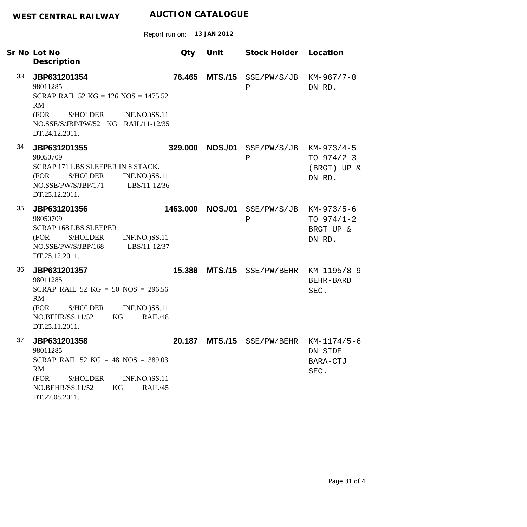| Sr No Lot No                                                                                                                                                                           | Qty      | Unit           | Stock Holder Location                      |                                       |
|----------------------------------------------------------------------------------------------------------------------------------------------------------------------------------------|----------|----------------|--------------------------------------------|---------------------------------------|
| Description                                                                                                                                                                            |          |                |                                            |                                       |
| 33<br>JBP631201354<br>98011285<br>SCRAP RAIL 52 KG = $126$ NOS = $1475.52$<br>RM<br>(FOR<br><b>S/HOLDER</b><br><b>INF.NO.)SS.11</b>                                                    | 76.465   | <b>MTS./15</b> | SSE/PW/S/JB<br>Ρ                           | $KM-967/7-8$<br>DN RD.                |
| NO.SSE/S/JBP/PW/52 KG RAIL/11-12/35<br>DT.24.12.2011.                                                                                                                                  |          |                |                                            |                                       |
| 34<br>JBP631201355<br>98050709<br>SCRAP 171 LBS SLEEPER IN 8 STACK.<br>(FOR<br>S/HOLDER<br><b>INF.NO.)SS.11</b><br>NO.SSE/PW/S/JBP/171<br>LBS/11-12/36<br>DT.25.12.2011.               | 329.000  | <b>NOS./01</b> | $SSE/PW/S/JB$ $KM-973/4-5$<br>$\, {\bf P}$ | TO $974/2-3$<br>(BRGT) UP &<br>DN RD. |
| 35<br>JBP631201356<br>98050709<br><b>SCRAP 168 LBS SLEEPER</b><br><b>S/HOLDER</b><br>(FOR<br><b>INF.NO.)SS.11</b><br>NO.SSE/PW/S/JBP/168<br>LBS/11-12/37<br>DT.25.12.2011.             | 1463.000 | <b>NOS./01</b> | $SSE/PW/S/JB$ $KM-973/5-6$<br>$\, {\bf P}$ | TO $974/1-2$<br>BRGT UP &<br>DN RD.   |
| 36<br>JBP631201357<br>98011285<br>SCRAP RAIL 52 KG = 50 NOS = $296.56$<br>RM<br>(FOR<br><b>S/HOLDER</b><br><b>INF.NO.)SS.11</b><br>NO.BEHR/SS.11/52<br>KG<br>RAIL/48<br>DT.25.11.2011. | 15.388   | <b>MTS./15</b> | SSE/PW/BEHR                                | KM-1195/8-9<br>BEHR-BARD<br>SEC.      |
| 37<br>JBP631201358<br>98011285<br>SCRAP RAIL 52 KG = 48 NOS = $389.03$<br>RM<br>(FOR<br><b>INF.NO.)SS.11</b><br><b>S/HOLDER</b><br>RAIL/45<br>NO.BEHR/SS.11/52<br>KG<br>DT.27.08.2011. | 20.187   |                | $MTS./15$ SSE/PW/BEHR KM-1174/5-6          | DN SIDE<br>BARA-CTJ<br>SEC.           |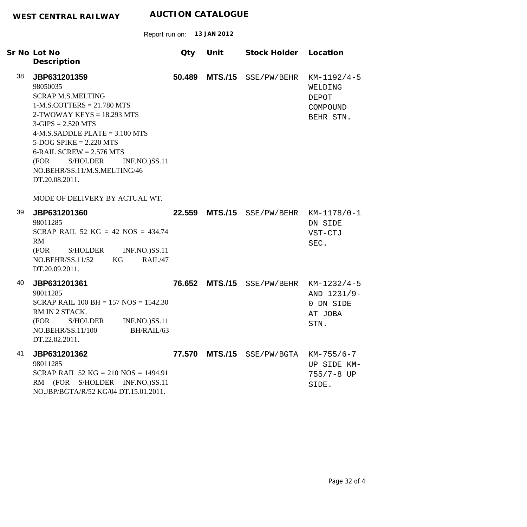Report run on: **13 JAN 2012**

|    | Sr No Lot No                                                                                                                                                                                                                                                                                                                                | Qty    | Unit           | Stock Holder Location                  |                                                            |
|----|---------------------------------------------------------------------------------------------------------------------------------------------------------------------------------------------------------------------------------------------------------------------------------------------------------------------------------------------|--------|----------------|----------------------------------------|------------------------------------------------------------|
|    | Description                                                                                                                                                                                                                                                                                                                                 |        |                |                                        |                                                            |
| 38 | JBP631201359<br>98050035<br><b>SCRAP M.S.MELTING</b><br>$1-M.S.$ COTTERS = 21.780 MTS<br>$2-TWOWAY KEYS = 18.293 MTS$<br>$3-GIPS = 2.520 MTS$<br>$4-M.S.SADDLE PLATE = 3.100 MTS$<br>$5-DOG SPIKE = 2.220 MTS$<br>$6$ -RAIL SCREW = 2.576 MTS<br>(FOR<br>S/HOLDER<br><b>INF.NO.)SS.11</b><br>NO.BEHR/SS.11/M.S.MELTING/46<br>DT.20.08.2011. | 50.489 | <b>MTS./15</b> | SSE/PW/BEHR                            | $KM-1192/4-5$<br>WELDING<br>DEPOT<br>COMPOUND<br>BEHR STN. |
|    | MODE OF DELIVERY BY ACTUAL WT.                                                                                                                                                                                                                                                                                                              |        |                |                                        |                                                            |
| 39 | JBP631201360<br>98011285<br>SCRAP RAIL 52 KG = 42 NOS = $434.74$<br>RM<br>(FOR<br>S/HOLDER<br><b>INF.NO.)SS.11</b><br>NO.BEHR/SS.11/52<br>KG<br>RAIL/47<br>DT.20.09.2011.                                                                                                                                                                   |        |                | 22.559 MTS./15 SSE/PW/BEHR KM-1178/0-1 | DN SIDE<br>VST-CTJ<br>SEC.                                 |
| 40 | JBP631201361<br>98011285<br>SCRAP RAIL $100 BH = 157 NOS = 1542.30$<br>RM IN 2 STACK.<br>S/HOLDER<br><b>INF.NO.)SS.11</b><br>(FOR<br>BH/RAIL/63<br>NO.BEHR/SS.11/100<br>DT.22.02.2011.                                                                                                                                                      |        |                | 76.652 MTS./15 SSE/PW/BEHR KM-1232/4-5 | AND 1231/9-<br>0 DN SIDE<br>AT JOBA<br>STN.                |
| 41 | JBP631201362<br>98011285<br>SCRAP RAIL 52 KG = 210 NOS = 1494.91<br>RM (FOR S/HOLDER INF.NO.)SS.11<br>NO.JBP/BGTA/R/52 KG/04 DT.15.01.2011.                                                                                                                                                                                                 |        |                | 77.570 MTS./15 SSE/PW/BGTA KM-755/6-7  | UP SIDE KM-<br>755/7-8 UP<br>SIDE.                         |

۰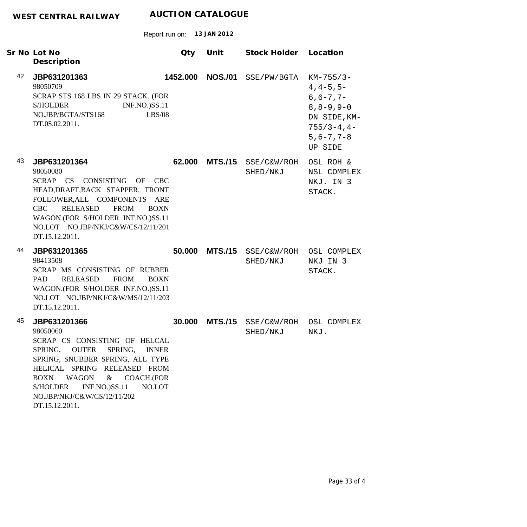|    | Sr No Lot No<br>Description                                                                                                                                                                                                                                                                                                                    | Qty      | Unit           | Stock Holder Location   |                                                                                                                                            |
|----|------------------------------------------------------------------------------------------------------------------------------------------------------------------------------------------------------------------------------------------------------------------------------------------------------------------------------------------------|----------|----------------|-------------------------|--------------------------------------------------------------------------------------------------------------------------------------------|
| 42 | JBP631201363<br>98050709<br>SCRAP STS 168 LBS IN 29 STACK. (FOR<br><b>S/HOLDER</b><br><b>INF.NO.)SS.11</b><br>NO.JBP/BGTA/STS168<br>LBS/08<br>DT.05.02.2011.                                                                                                                                                                                   | 1452.000 | <b>NOS./01</b> | SSE/PW/BGTA             | $KM-755/3-$<br>$4, 4 - 5, 5 -$<br>$6, 6 - 7, 7 -$<br>$8, 8 - 9, 9 - 0$<br>DN SIDE, KM-<br>$755/3 - 4, 4 -$<br>$5, 6 - 7, 7 - 8$<br>UP SIDE |
| 43 | JBP631201364<br>98050080<br>SCRAP CS CONSISTING OF CBC<br>HEAD, DRAFT, BACK STAPPER, FRONT<br>FOLLOWER, ALL COMPONENTS ARE<br><b>FROM</b><br><b>CBC</b><br><b>RELEASED</b><br><b>BOXN</b><br>WAGON.(FOR S/HOLDER INF.NO.)SS.11<br>NO.LOT NO.JBP/NKJ/C&W/CS/12/11/201<br>DT.15.12.2011.                                                         | 62.000   | <b>MTS./15</b> | SSE/C&W/ROH<br>SHED/NKJ | OSL ROH &<br>NSL COMPLEX<br>NKJ. IN 3<br>STACK.                                                                                            |
| 44 | JBP631201365<br>98413508<br>SCRAP MS CONSISTING OF RUBBER<br>PAD<br><b>RELEASED</b><br><b>FROM</b><br><b>BOXN</b><br>WAGON.(FOR S/HOLDER INF.NO.)SS.11<br>NO.LOT NO.JBP/NKJ/C&W/MS/12/11/203<br>DT.15.12.2011.                                                                                                                                 | 50.000   | <b>MTS./15</b> | SSE/C&W/ROH<br>SHED/NKJ | OSL COMPLEX<br>NKJ IN 3<br>STACK.                                                                                                          |
| 45 | JBP631201366<br>98050060<br>SCRAP CS CONSISTING OF HELCAL<br>SPRING,<br><b>OUTER</b><br>SPRING,<br><b>INNER</b><br>SPRING, SNUBBER SPRING, ALL TYPE<br>HELICAL SPRING RELEASED FROM<br><b>WAGON</b><br>COACH.(FOR<br><b>BOXN</b><br>$\&$<br><b>S/HOLDER</b><br><b>INF.NO.)SS.11</b><br>NO.LOT<br>NO.JBP/NKJ/C&W/CS/12/11/202<br>DT.15.12.2011. | 30.000   | <b>MTS./15</b> | SSE/C&W/ROH<br>SHED/NKJ | OSL COMPLEX<br>NKJ.                                                                                                                        |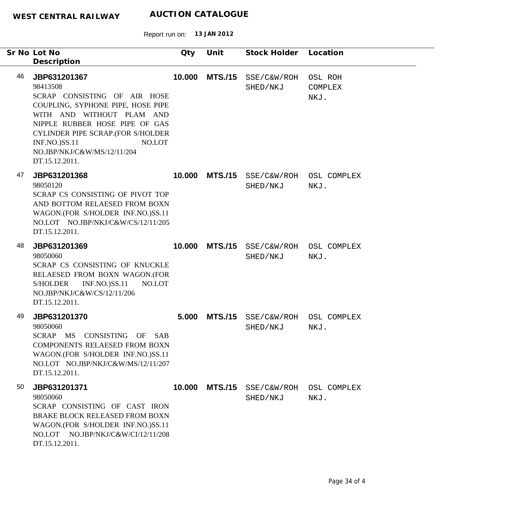|    | Sr No Lot No<br>Description                                                                                                                                                                                                                                                          | Qty    | Unit           | Stock Holder            | Location                   |
|----|--------------------------------------------------------------------------------------------------------------------------------------------------------------------------------------------------------------------------------------------------------------------------------------|--------|----------------|-------------------------|----------------------------|
| 46 | JBP631201367<br>98413508<br>SCRAP CONSISTING OF AIR HOSE<br>COUPLING, SYPHONE PIPE, HOSE PIPE<br>WITH AND WITHOUT PLAM AND<br>NIPPLE RUBBER HOSE PIPE OF GAS<br>CYLINDER PIPE SCRAP.(FOR S/HOLDER<br>NO.LOT<br><b>INF.NO.)SS.11</b><br>NO.JBP/NKJ/C&W/MS/12/11/204<br>DT.15.12.2011. | 10.000 | <b>MTS./15</b> | SSE/C&W/ROH<br>SHED/NKJ | OSL ROH<br>COMPLEX<br>NKJ. |
| 47 | JBP631201368<br>98050120<br>SCRAP CS CONSISTING OF PIVOT TOP<br>AND BOTTOM RELAESED FROM BOXN<br>WAGON.(FOR S/HOLDER INF.NO.)SS.11<br>NO.LOT NO.JBP/NKJ/C&W/CS/12/11/205<br>DT.15.12.2011.                                                                                           | 10.000 | <b>MTS./15</b> | SSE/C&W/ROH<br>SHED/NKJ | OSL COMPLEX<br>NKJ.        |
| 48 | JBP631201369<br>98050060<br>SCRAP CS CONSISTING OF KNUCKLE<br>RELAESED FROM BOXN WAGON.(FOR<br><b>INF.NO.)SS.11</b><br><b>S/HOLDER</b><br>NO.LOT<br>NO.JBP/NKJ/C&W/CS/12/11/206<br>DT.15.12.2011.                                                                                    | 10.000 | <b>MTS./15</b> | SSE/C&W/ROH<br>SHED/NKJ | OSL COMPLEX<br>NKJ.        |
| 49 | JBP631201370<br>98050060<br>SCRAP MS<br>CONSISTING OF<br>SAB<br><b>COMPONENTS RELAESED FROM BOXN</b><br>WAGON.(FOR S/HOLDER INF.NO.)SS.11<br>NO.LOT NO.JBP/NKJ/C&W/MS/12/11/207<br>DT.15.12.2011.                                                                                    | 5.000  | <b>MTS./15</b> | SSE/C&W/ROH<br>SHED/NKJ | OSL COMPLEX<br>NKJ.        |
| 50 | JBP631201371<br>98050060<br>SCRAP CONSISTING OF CAST IRON<br><b>BRAKE BLOCK RELEASED FROM BOXN</b><br>WAGON.(FOR S/HOLDER INF.NO.)SS.11<br>NO.LOT NO.JBP/NKJ/C&W/CI/12/11/208<br>DT.15.12.2011.                                                                                      | 10.000 | <b>MTS./15</b> | SSE/C&W/ROH<br>SHED/NKJ | OSL COMPLEX<br>NKJ.        |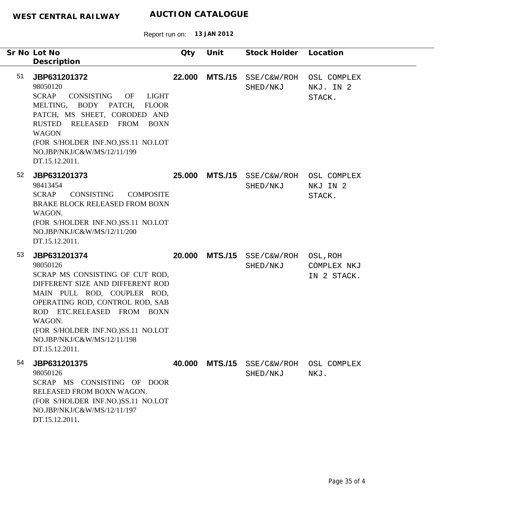Report run on: **13 JAN 2012**

| Sr No Lot No | Description                                                                                                                                                                                                                                                                                      | Qty    | Unit           | Stock Holder Location   |                                       |
|--------------|--------------------------------------------------------------------------------------------------------------------------------------------------------------------------------------------------------------------------------------------------------------------------------------------------|--------|----------------|-------------------------|---------------------------------------|
| 51           | JBP631201372<br>98050120<br><b>SCRAP</b><br>CONSISTING<br>OF<br>LIGHT<br>MELTING, BODY PATCH,<br><b>FLOOR</b><br>PATCH, MS SHEET, CORODED AND<br>RUSTED RELEASED FROM BOXN<br><b>WAGON</b><br>(FOR S/HOLDER INF.NO.)SS.11 NO.LOT<br>NO.JBP/NKJ/C&W/MS/12/11/199<br>DT.15.12.2011.                | 22.000 | <b>MTS./15</b> | SSE/C&W/ROH<br>SHED/NKJ | OSL COMPLEX<br>NKJ. IN 2<br>STACK.    |
| 52           | JBP631201373<br>98413454<br>CONSISTING<br><b>SCRAP</b><br><b>COMPOSITE</b><br>BRAKE BLOCK RELEASED FROM BOXN<br>WAGON.<br>(FOR S/HOLDER INF.NO.)SS.11 NO.LOT<br>NO.JBP/NKJ/C&W/MS/12/11/200<br>DT.15.12.2011.                                                                                    | 25.000 | <b>MTS./15</b> | SSE/C&W/ROH<br>SHED/NKJ | OSL COMPLEX<br>NKJ IN 2<br>STACK.     |
| 53           | JBP631201374<br>98050126<br>SCRAP MS CONSISTING OF CUT ROD,<br>DIFFERENT SIZE AND DIFFERENT ROD<br>MAIN PULL ROD, COUPLER ROD,<br>OPERATING ROD, CONTROL ROD, SAB<br>ROD ETC.RELEASED FROM BOXN<br>WAGON.<br>(FOR S/HOLDER INF.NO.)SS.11 NO.LOT<br>NO.JBP/NKJ/C&W/MS/12/11/198<br>DT.15.12.2011. | 20.000 | <b>MTS./15</b> | SSE/C&W/ROH<br>SHED/NKJ | OSL,ROH<br>COMPLEX NKJ<br>IN 2 STACK. |
| 54           | JBP631201375<br>98050126<br>SCRAP MS CONSISTING OF DOOR<br>RELEASED FROM BOXN WAGON.<br>(FOR S/HOLDER INF.NO.)SS.11 NO.LOT<br>NO.JBP/NKJ/C&W/MS/12/11/197<br>DT.15.12.2011.                                                                                                                      | 40.000 | <b>MTS./15</b> | SSE/C&W/ROH<br>SHED/NKJ | OSL COMPLEX<br>NKJ.                   |

 $\overline{\phantom{0}}$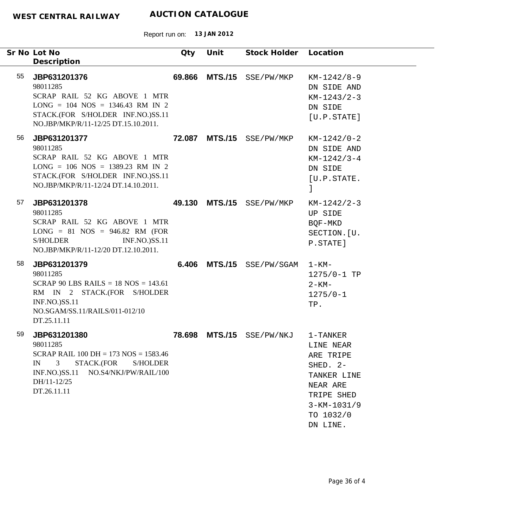|    | Sr No Lot No<br>Description                                                                                                                                                                               | Qty    | Unit | Stock Holder Location     |                                                                                                                                   |
|----|-----------------------------------------------------------------------------------------------------------------------------------------------------------------------------------------------------------|--------|------|---------------------------|-----------------------------------------------------------------------------------------------------------------------------------|
| 55 | JBP631201376<br>98011285<br>SCRAP RAIL 52 KG ABOVE 1 MTR<br>$LONG = 104 NOS = 1346.43 RM IN 2$<br>STACK.(FOR S/HOLDER INF.NO.)SS.11<br>NO.JBP/MKP/R/11-12/25 DT.15.10.2011.                               | 69.866 |      | MTS./15 SSE/PW/MKP        | $KM-1242/8-9$<br>DN SIDE AND<br>$KM-1243/2-3$<br>DN SIDE<br>[U.P. STATE]                                                          |
| 56 | JBP631201377<br>98011285<br>SCRAP RAIL 52 KG ABOVE 1 MTR<br>$LONG = 106 NOS = 1389.23 RM IN 2$<br>STACK.(FOR S/HOLDER INF.NO.)SS.11<br>NO.JBP/MKP/R/11-12/24 DT.14.10.2011.                               |        |      | 72.087 MTS./15 SSE/PW/MKP | $KM-1242/0-2$<br>DN SIDE AND<br>$KM-1242/3-4$<br>DN SIDE<br>[U.P.STATE.<br>1                                                      |
| 57 | JBP631201378<br>98011285<br>SCRAP RAIL 52 KG ABOVE 1 MTR<br>$LONG = 81$ $NOS = 946.82$ RM (FOR<br><b>INF.NO.)SS.11</b><br><b>S/HOLDER</b><br>NO.JBP/MKP/R/11-12/20 DT.12.10.2011.                         |        |      | 49.130 MTS./15 SSE/PW/MKP | $KM-1242/2-3$<br>UP SIDE<br>BQF-MKD<br>SECTION. [U.<br>P.STATE]                                                                   |
| 58 | JBP631201379<br>98011285<br>SCRAP 90 LBS RAILS = $18$ NOS = $143.61$<br>RM IN 2 STACK.(FOR S/HOLDER<br><b>INF.NO.)SS.11</b><br>NO.SGAM/SS.11/RAILS/011-012/10<br>DT.25.11.11                              |        |      | 6.406 MTS./15 SSE/PW/SGAM | $1 - KM -$<br>$1275/0 - 1$ TP<br>$2 - KM -$<br>$1275/0 - 1$<br>TP.                                                                |
| 59 | JBP631201380<br>98011285<br>SCRAP RAIL 100 DH = 173 NOS = $1583.46$<br>IN<br>$\mathbf{3}$<br>STACK.(FOR<br><b>S/HOLDER</b><br><b>INF.NO.)SS.11</b><br>NO.S4/NKJ/PW/RAIL/100<br>DH/11-12/25<br>DT.26.11.11 |        |      | 78.698 MTS./15 SSE/PW/NKJ | 1-TANKER<br>LINE NEAR<br>ARE TRIPE<br>SHED. 2-<br>TANKER LINE<br>NEAR ARE<br>TRIPE SHED<br>$3-KM-1031/9$<br>TO 1032/0<br>DN LINE. |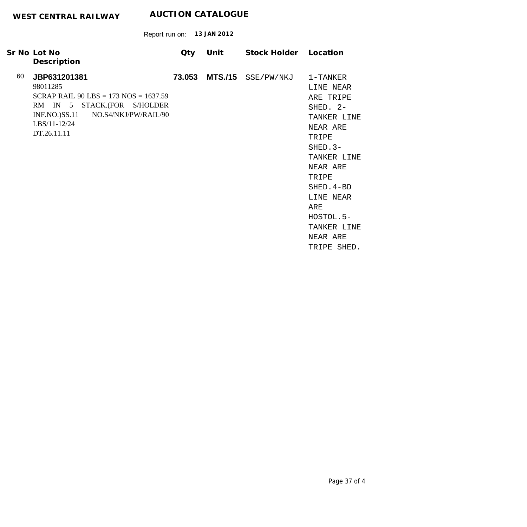|    | Sr No Lot No                              | Qty    | Unit | Stock Holder Location |             |
|----|-------------------------------------------|--------|------|-----------------------|-------------|
|    | Description                               |        |      |                       |             |
| 60 | JBP631201381                              | 73.053 |      | MTS./15 SSE/PW/NKJ    | 1-TANKER    |
|    | 98011285                                  |        |      |                       | LINE NEAR   |
|    | SCRAP RAIL 90 LBS = $173$ NOS = $1637.59$ |        |      |                       | ARE TRIPE   |
|    | RM IN 5 STACK.(FOR S/HOLDER               |        |      |                       | SHED. 2-    |
|    | INF.NO.)SS.11 NO.S4/NKJ/PW/RAIL/90        |        |      |                       | TANKER LINE |
|    | LBS/11-12/24                              |        |      |                       | NEAR ARE    |
|    | DT.26.11.11                               |        |      |                       | TRIPE       |
|    |                                           |        |      |                       | $SHED.3-$   |
|    |                                           |        |      |                       | TANKER LINE |
|    |                                           |        |      |                       | NEAR ARE    |
|    |                                           |        |      |                       | TRIPE       |
|    |                                           |        |      |                       | SHED. 4-BD  |
|    |                                           |        |      |                       | LINE NEAR   |
|    |                                           |        |      |                       | ARE         |
|    |                                           |        |      |                       | HOSTOL.5-   |
|    |                                           |        |      |                       | TANKER LINE |
|    |                                           |        |      |                       | NEAR ARE    |
|    |                                           |        |      |                       | TRIPE SHED. |
|    |                                           |        |      |                       |             |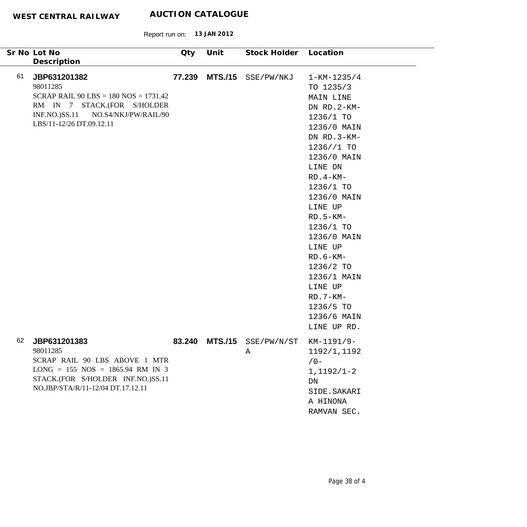|    | Sr No Lot No                                                                                                                                                                        | Qty    | Unit           | Stock Holder Location    |                                                                                                                                                                                                                                                                                                                                                          |
|----|-------------------------------------------------------------------------------------------------------------------------------------------------------------------------------------|--------|----------------|--------------------------|----------------------------------------------------------------------------------------------------------------------------------------------------------------------------------------------------------------------------------------------------------------------------------------------------------------------------------------------------------|
| 61 | Description<br>JBP631201382<br>98011285<br>SCRAP RAIL $90$ LBS = 180 NOS = 1731.42<br>RM IN 7 STACK.(FOR S/HOLDER<br>INF.NO.)SS.11 NO.S4/NKJ/PW/RAIL/90<br>LBS/11-12/26 DT.09.12.11 |        | 77.239 MTS./15 | SSE/PW/NKJ               | $1 - KM - 1235/4$<br>TO 1235/3<br>MAIN LINE<br>DN RD.2-KM-<br>1236/1 TO<br>1236/0 MAIN<br>DN RD.3-KM-<br>1236 // 1 T0<br>1236/0 MAIN<br>LINE DN<br>$RD.4-KM-$<br>1236/1 TO<br>1236/0 MAIN<br>LINE UP<br>$RD.5-KM-$<br>1236/1 TO<br>1236/0 MAIN<br>LINE UP<br>$RD.6-KM-$<br>1236/2 TO<br>1236/1 MAIN<br>LINE UP<br>$RD.7-KM-$<br>1236/5 TO<br>1236/6 MAIN |
| 62 | JBP631201383<br>98011285<br>SCRAP RAIL 90 LBS ABOVE 1 MTR<br>$LONG = 155 NOS = 1865.94 RM IN 3$<br>STACK.(FOR S/HOLDER INF.NO.)SS.11<br>NO.JBP/STA/R/11-12/04 DT.17.12.11           | 83.240 |                | MTS./15 SSE/PW/N/ST<br>Α | LINE UP RD.<br>KM-1191/9-<br>1192/1,1192<br>$/0 -$<br>$1,1192/1-2$<br>DN<br>SIDE. SAKARI<br>A HINONA<br>RAMVAN SEC.                                                                                                                                                                                                                                      |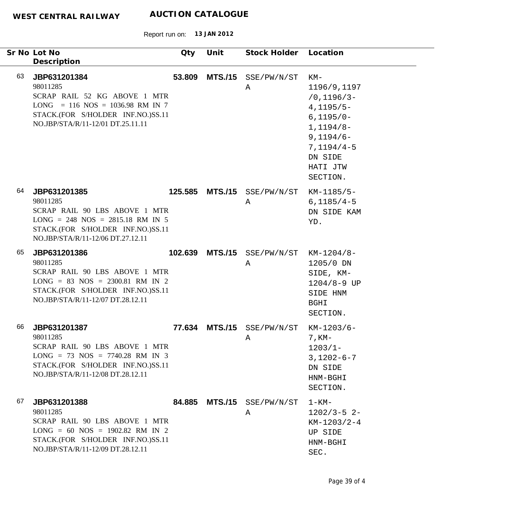|    | Sr No Lot No<br>Description                                                                                                                                               | Qty    | Unit           | Stock Holder Location            |                                                                                                                                                     |
|----|---------------------------------------------------------------------------------------------------------------------------------------------------------------------------|--------|----------------|----------------------------------|-----------------------------------------------------------------------------------------------------------------------------------------------------|
| 63 | JBP631201384<br>98011285<br>SCRAP RAIL 52 KG ABOVE 1 MTR<br>$LONG = 116 NOS = 1036.98 RM IN 7$<br>STACK.(FOR S/HOLDER INF.NO.)SS.11<br>NO.JBP/STA/R/11-12/01 DT.25.11.11  | 53.809 |                | MTS./15 SSE/PW/N/ST<br>Α         | KM-<br>1196/9,1197<br>$/0, 1196/3 -$<br>$4,1195/5-$<br>$6,1195/0-$<br>$1,1194/8-$<br>$9,1194/6-$<br>$7,1194/4-5$<br>DN SIDE<br>HATI JTW<br>SECTION. |
| 64 | JBP631201385<br>98011285<br>SCRAP RAIL 90 LBS ABOVE 1 MTR<br>$LONG = 248 NOS = 2815.18 RM IN 5$<br>STACK.(FOR S/HOLDER INF.NO.)SS.11<br>NO.JBP/STA/R/11-12/06 DT.27.12.11 |        |                | 125.585 MTS./15 SSE/PW/N/ST<br>Α | $KM-1185/5-$<br>$6,1185/4-5$<br>DN SIDE KAM<br>YD.                                                                                                  |
| 65 | JBP631201386<br>98011285<br>SCRAP RAIL 90 LBS ABOVE 1 MTR<br>$LONG = 83 NOS = 2300.81 RM IN 2$<br>STACK.(FOR S/HOLDER INF.NO.)SS.11<br>NO.JBP/STA/R/11-12/07 DT.28.12.11  |        |                | 102.639 MTS./15 SSE/PW/N/ST<br>Α | $KM-1204/8-$<br>1205/0 DN<br>SIDE, KM-<br>$1204/8 - 9$ UP<br>SIDE HNM<br>BGHI<br>SECTION.                                                           |
| 66 | JBP631201387<br>98011285<br>SCRAP RAIL 90 LBS ABOVE 1 MTR<br>$LONG = 73 NOS = 7740.28 RM IN 3$<br>STACK.(FOR S/HOLDER INF.NO.)SS.11<br>NO.JBP/STA/R/11-12/08 DT.28.12.11  | 77.634 | <b>MTS./15</b> | SSE/PW/N/ST<br>Α                 | $KM-1203/6-$<br>$7, KM-$<br>$1203/1 -$<br>$3,1202 - 6 - 7$<br>DN SIDE<br>HNM-BGHI<br>SECTION.                                                       |
| 67 | JBP631201388<br>98011285<br>SCRAP RAIL 90 LBS ABOVE 1 MTR<br>$LONG = 60 NOS = 1902.82 RM IN 2$<br>STACK.(FOR S/HOLDER INF.NO.)SS.11<br>NO.JBP/STA/R/11-12/09 DT.28.12.11  | 84.885 |                | MTS./15 SSE/PW/N/ST<br>A         | $1 - KM -$<br>$1202/3 - 5$ 2-<br>$KM-1203/2-4$<br>UP SIDE<br>HNM-BGHI<br>SEC.                                                                       |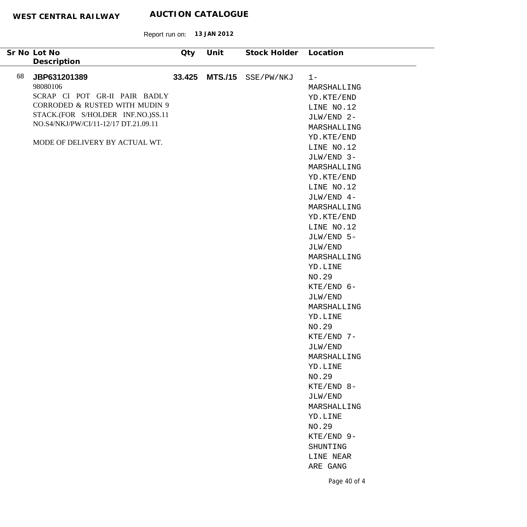|    | Sr No Lot No                         | Qty    | Unit | Stock Holder Location |                       |
|----|--------------------------------------|--------|------|-----------------------|-----------------------|
|    | Description                          |        |      |                       |                       |
| 68 | JBP631201389                         | 33.425 |      | MTS./15 SSE/PW/NKJ    | $1 -$                 |
|    | 98080106                             |        |      |                       | MARSHALLING           |
|    | SCRAP CI POT GR-II PAIR BADLY        |        |      |                       | YD.KTE/END            |
|    | CORRODED & RUSTED WITH MUDIN 9       |        |      |                       | LINE NO.12            |
|    | STACK.(FOR S/HOLDER INF.NO.)SS.11    |        |      |                       | JLW/END 2-            |
|    | NO.S4/NKJ/PW/CI/11-12/17 DT.21.09.11 |        |      |                       | MARSHALLING           |
|    |                                      |        |      |                       | YD.KTE/END            |
|    | MODE OF DELIVERY BY ACTUAL WT.       |        |      |                       | LINE NO.12            |
|    |                                      |        |      |                       | JLW/END 3-            |
|    |                                      |        |      |                       | MARSHALLING           |
|    |                                      |        |      |                       | YD.KTE/END            |
|    |                                      |        |      |                       | LINE NO.12            |
|    |                                      |        |      |                       | JLW/END 4-            |
|    |                                      |        |      |                       | MARSHALLING           |
|    |                                      |        |      |                       | YD.KTE/END            |
|    |                                      |        |      |                       | LINE NO.12            |
|    |                                      |        |      |                       | JLW/END 5-            |
|    |                                      |        |      |                       | JLW/END               |
|    |                                      |        |      |                       | MARSHALLING           |
|    |                                      |        |      |                       | YD.LINE               |
|    |                                      |        |      |                       | NO.29                 |
|    |                                      |        |      |                       | $KTE/END$ 6-          |
|    |                                      |        |      |                       | JLW/END               |
|    |                                      |        |      |                       | MARSHALLING           |
|    |                                      |        |      |                       | YD.LINE               |
|    |                                      |        |      |                       | NO.29                 |
|    |                                      |        |      |                       | $KTE/END$ 7-          |
|    |                                      |        |      |                       | JLW/END               |
|    |                                      |        |      |                       | MARSHALLING           |
|    |                                      |        |      |                       | YD.LINE               |
|    |                                      |        |      |                       | NO.29                 |
|    |                                      |        |      |                       | $KTE/END 8-$          |
|    |                                      |        |      |                       | JLW/END               |
|    |                                      |        |      |                       | MARSHALLING           |
|    |                                      |        |      |                       | YD.LINE               |
|    |                                      |        |      |                       | NO.29                 |
|    |                                      |        |      |                       | KTE/END 9-            |
|    |                                      |        |      |                       | SHUNTING<br>LINE NEAR |
|    |                                      |        |      |                       | ARE GANG              |
|    |                                      |        |      |                       |                       |
|    |                                      |        |      |                       | Page 40 of 4          |
|    |                                      |        |      |                       |                       |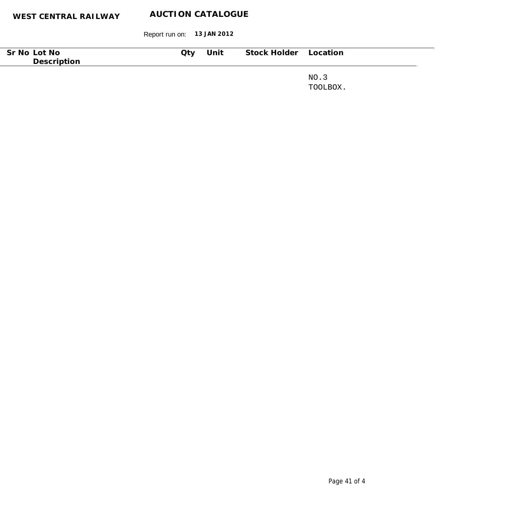| Sr No Lot No | Qty | Unit | Stock Holder Location |          |
|--------------|-----|------|-----------------------|----------|
| Description  |     |      |                       |          |
|              |     |      |                       |          |
|              |     |      |                       | NO.3     |
|              |     |      |                       | TOOLBOX. |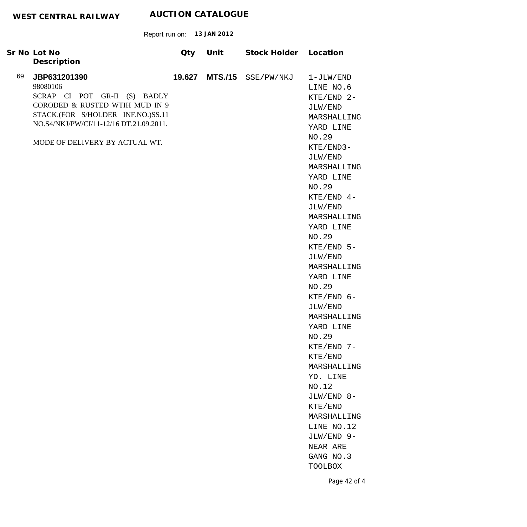|    | Sr No Lot No                                                                                                                                                                                                 | Qty    | Unit           | Stock Holder | Location                                                                                                          |
|----|--------------------------------------------------------------------------------------------------------------------------------------------------------------------------------------------------------------|--------|----------------|--------------|-------------------------------------------------------------------------------------------------------------------|
|    | Description                                                                                                                                                                                                  |        |                |              |                                                                                                                   |
| 69 | JBP631201390<br>98080106<br>SCRAP CI POT GR-II (S) BADLY<br>CORODED & RUSTED WTIH MUD IN 9<br>STACK.(FOR S/HOLDER INF.NO.)SS.11<br>NO.S4/NKJ/PW/CI/11-12/16 DT.21.09.2011.<br>MODE OF DELIVERY BY ACTUAL WT. | 19.627 | <b>MTS./15</b> | SSE/PW/NKJ   | $1-JLW/END$<br>LINE NO.6<br>$KTE/END$ 2-<br>JLW/END<br>MARSHALLING<br>YARD LINE<br>NO.29<br>KTE/END3-<br>JLW/END  |
|    |                                                                                                                                                                                                              |        |                |              | MARSHALLING<br>YARD LINE<br>NO.29<br>$KTE/END$ 4-<br>JLW/END<br>MARSHALLING<br>YARD LINE<br>NO.29<br>$KTE/END$ 5- |
|    |                                                                                                                                                                                                              |        |                |              | JLW/END<br>MARSHALLING<br>YARD LINE<br>NO.29<br>$KTE/END$ 6-<br>JLW/END<br>MARSHALLING<br>YARD LINE               |
|    |                                                                                                                                                                                                              |        |                |              | NO.29<br>KTE/END 7-<br>KTE/END<br>MARSHALLING<br>YD. LINE<br>NO.12<br>JLW/END 8-<br>KTE/END                       |
|    |                                                                                                                                                                                                              |        |                |              | MARSHALLING<br>LINE NO.12<br>JLW/END 9-<br>NEAR ARE<br>GANG NO.3<br>TOOLBOX<br>Page 42 of 4                       |
|    |                                                                                                                                                                                                              |        |                |              |                                                                                                                   |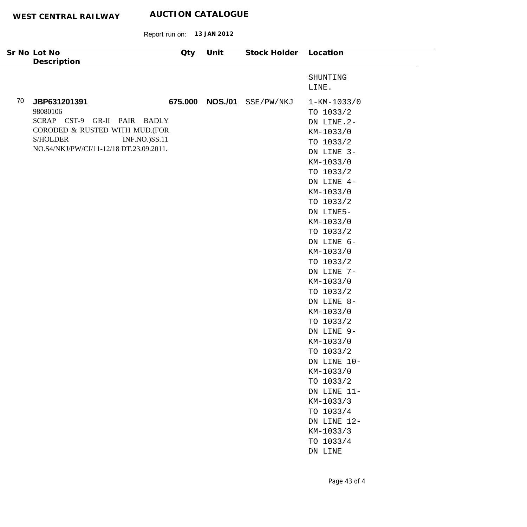Report run on: **13 JAN 2012**

| Sr No Lot No<br>Description                                    | Qty | Unit            | Stock Holder Location |                        |
|----------------------------------------------------------------|-----|-----------------|-----------------------|------------------------|
|                                                                |     |                 |                       |                        |
|                                                                |     |                 |                       | SHUNTING<br>LINE.      |
|                                                                |     |                 |                       |                        |
| 70<br>JBP631201391                                             |     | 675.000 NOS./01 | SSE/PW/NKJ            | $1 - KM - 1033/0$      |
| 98080106                                                       |     |                 |                       | TO 1033/2              |
| SCRAP CST-9 GR-II PAIR BADLY<br>CORODED & RUSTED WITH MUD.(FOR |     |                 |                       | DN LINE.2-             |
| <b>S/HOLDER</b><br><b>INF.NO.)SS.11</b>                        |     |                 |                       | KM-1033/0              |
| NO.S4/NKJ/PW/CI/11-12/18 DT.23.09.2011.                        |     |                 |                       | TO 1033/2              |
|                                                                |     |                 |                       | DN LINE 3-             |
|                                                                |     |                 |                       | KM-1033/0              |
|                                                                |     |                 |                       | TO 1033/2              |
|                                                                |     |                 |                       | DN LINE 4-             |
|                                                                |     |                 |                       | KM-1033/0              |
|                                                                |     |                 |                       | TO 1033/2              |
|                                                                |     |                 |                       | DN LINE5-<br>KM-1033/0 |
|                                                                |     |                 |                       | TO 1033/2              |
|                                                                |     |                 |                       | DN LINE 6-             |
|                                                                |     |                 |                       | KM-1033/0              |
|                                                                |     |                 |                       | TO 1033/2              |
|                                                                |     |                 |                       | DN LINE 7-             |
|                                                                |     |                 |                       | KM-1033/0              |
|                                                                |     |                 |                       | TO 1033/2              |
|                                                                |     |                 |                       | DN LINE 8-             |
|                                                                |     |                 |                       | KM-1033/0              |
|                                                                |     |                 |                       | TO 1033/2              |
|                                                                |     |                 |                       | DN LINE 9-             |
|                                                                |     |                 |                       | KM-1033/0              |
|                                                                |     |                 |                       | TO 1033/2              |
|                                                                |     |                 |                       | DN LINE 10-            |
|                                                                |     |                 |                       | KM-1033/0              |
|                                                                |     |                 |                       | TO 1033/2              |
|                                                                |     |                 |                       | DN LINE 11-            |
|                                                                |     |                 |                       | KM-1033/3              |
|                                                                |     |                 |                       | TO 1033/4              |
|                                                                |     |                 |                       | DN LINE 12-            |
|                                                                |     |                 |                       | KM-1033/3              |
|                                                                |     |                 |                       | TO 1033/4              |
|                                                                |     |                 |                       | DN LINE                |
|                                                                |     |                 |                       |                        |
|                                                                |     |                 |                       |                        |

 $\overline{\phantom{0}}$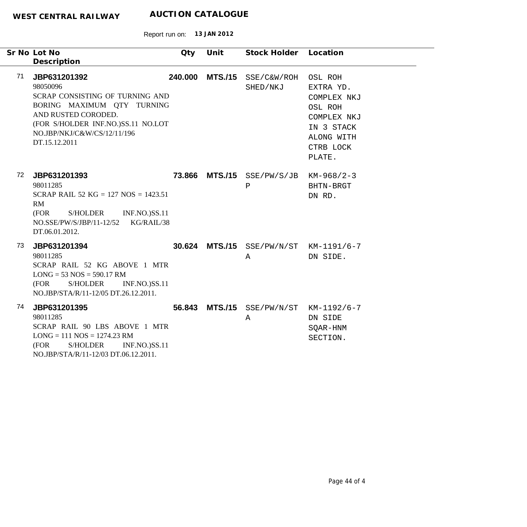|    | Sr No Lot No<br>Description                                                                                                                                                                            | Qty | Unit            | Stock Holder Location                                 |                                                                                                                  |
|----|--------------------------------------------------------------------------------------------------------------------------------------------------------------------------------------------------------|-----|-----------------|-------------------------------------------------------|------------------------------------------------------------------------------------------------------------------|
| 71 | JBP631201392<br>98050096<br>SCRAP CONSISTING OF TURNING AND<br>BORING MAXIMUM QTY TURNING<br>AND RUSTED CORODED.<br>(FOR S/HOLDER INF.NO.)SS.11 NO.LOT<br>NO.JBP/NKJ/C&W/CS/12/11/196<br>DT.15.12.2011 |     | 240.000 MTS./15 | SSE/C&W/ROH<br>SHED/NKJ                               | OSL ROH<br>EXTRA YD.<br>COMPLEX NKJ<br>OSL ROH<br>COMPLEX NKJ<br>IN 3 STACK<br>ALONG WITH<br>CTRB LOCK<br>PLATE. |
| 72 | JBP631201393<br>98011285<br>SCRAP RAIL 52 KG = $127$ NOS = $1423.51$<br><b>RM</b><br><b>S/HOLDER</b><br><b>INF.NO.)SS.11</b><br>(FOR<br>NO.SSE/PW/S/JBP/11-12/52<br>KG/RAIL/38<br>DT.06.01.2012.       |     |                 | 73.866 MTS./15 SSE/PW/S/JB KM-968/2-3<br>$\, {\bf P}$ | BHTN-BRGT<br>DN RD.                                                                                              |
| 73 | JBP631201394<br>98011285<br>SCRAP RAIL 52 KG ABOVE 1 MTR<br>$LONG = 53 NOS = 590.17 RM$<br>S/HOLDER<br><b>INF.NO.)SS.11</b><br>(FOR<br>NO.JBP/STA/R/11-12/05 DT.26.12.2011.                            |     |                 | 30.624 MTS./15 SSE/PW/N/ST KM-1191/6-7<br>A           | DN SIDE.                                                                                                         |
| 74 | JBP631201395<br>98011285<br>SCRAP RAIL 90 LBS ABOVE 1 MTR<br>$LONG = 111 NOS = 1274.23 RM$<br>(FOR<br>S/HOLDER<br><b>INF.NO.)SS.11</b><br>NO.JBP/STA/R/11-12/03 DT.06.12.2011.                         |     |                 | 56.843 MTS./15 SSE/PW/N/ST KM-1192/6-7<br>Α           | DN SIDE<br>SQAR-HNM<br>SECTION.                                                                                  |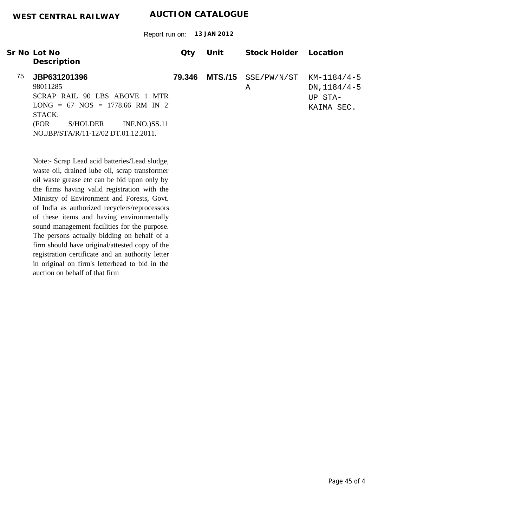Report run on: **13 JAN 2012**

|    | Sr No Lot No                                     | Qty    | Unit           | Stock Holder | Location       |
|----|--------------------------------------------------|--------|----------------|--------------|----------------|
|    | Description                                      |        |                |              |                |
| 75 | JBP631201396                                     | 79.346 | <b>MTS./15</b> | SSE/PW/N/ST  | $KM-1184/4-5$  |
|    | 98011285                                         |        |                | Α            | $DN, 1184/4-5$ |
|    | SCRAP RAIL 90 LBS ABOVE 1 MTR                    |        |                |              |                |
|    | $LONG = 67 NOS = 1778.66 RM IN 2$                |        |                |              | UP STA-        |
|    |                                                  |        |                |              | KAIMA SEC.     |
|    | STACK.                                           |        |                |              |                |
|    | (FOR<br><b>S/HOLDER</b><br><b>INF.NO.)SS.11</b>  |        |                |              |                |
|    | NO.JBP/STA/R/11-12/02 DT.01.12.2011.             |        |                |              |                |
|    |                                                  |        |                |              |                |
|    |                                                  |        |                |              |                |
|    | Note:- Scrap Lead acid batteries/Lead sludge,    |        |                |              |                |
|    | waste oil, drained lube oil, scrap transformer   |        |                |              |                |
|    | oil waste grease etc can be bid upon only by     |        |                |              |                |
|    | the firms having valid registration with the     |        |                |              |                |
|    | Ministry of Environment and Forests, Govt.       |        |                |              |                |
|    | of India as authorized recyclers/reprocessors    |        |                |              |                |
|    | of these items and having environmentally        |        |                |              |                |
|    | sound management facilities for the purpose.     |        |                |              |                |
|    | The persons actually bidding on behalf of a      |        |                |              |                |
|    |                                                  |        |                |              |                |
|    | firm should have original/attested copy of the   |        |                |              |                |
|    | registration certificate and an authority letter |        |                |              |                |
|    | in original on firm's letterhead to bid in the   |        |                |              |                |

auction on behalf of that firm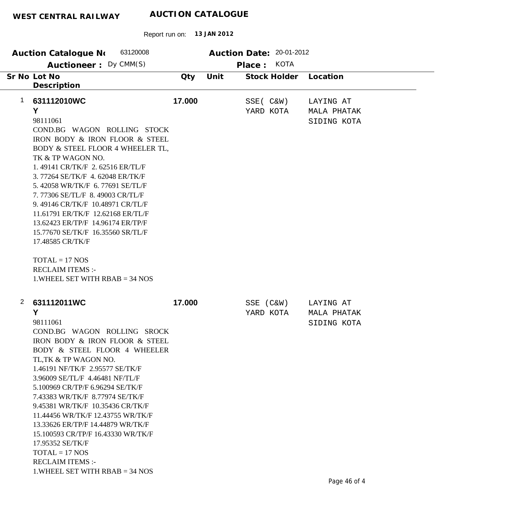|                | 63120008<br>Auction Catalogue No<br>Auctioneer: Dy CMM(S)                                                                                                                                                                                                                                                                                                                                                                                                                                                                                                      |        |      | Auction Date: 20-01-2012<br>KOTA<br>Place: |                                                |
|----------------|----------------------------------------------------------------------------------------------------------------------------------------------------------------------------------------------------------------------------------------------------------------------------------------------------------------------------------------------------------------------------------------------------------------------------------------------------------------------------------------------------------------------------------------------------------------|--------|------|--------------------------------------------|------------------------------------------------|
|                | Sr No Lot No<br>Description                                                                                                                                                                                                                                                                                                                                                                                                                                                                                                                                    | Qty    | Unit | Stock Holder                               | Location                                       |
| $\mathbf 1$    | 631112010WC<br>Y<br>98111061<br>COND.BG WAGON ROLLING STOCK<br>IRON BODY & IRON FLOOR & STEEL<br>BODY & STEEL FLOOR 4 WHEELER TL,<br>TK & TP WAGON NO.<br>1.49141 CR/TK/F 2.62516 ER/TL/F<br>3.77264 SE/TK/F 4.62048 ER/TK/F<br>5.42058 WR/TK/F 6.77691 SE/TL/F<br>7.77306 SE/TL/F 8.49003 CR/TL/F<br>9.49146 CR/TK/F 10.48971 CR/TL/F<br>11.61791 ER/TK/F 12.62168 ER/TL/F<br>13.62423 ER/TP/F 14.96174 ER/TP/F<br>15.77670 SE/TK/F 16.35560 SR/TL/F<br>17.48585 CR/TK/F<br>$TOTAL = 17 NOS$<br><b>RECLAIM ITEMS:-</b><br>1. WHEEL SET WITH $RBAB = 34$ NOS   | 17.000 |      | $SSE( C\&W)$<br>YARD KOTA                  | LAYING AT<br><b>MALA PHATAK</b><br>SIDING KOTA |
| $\overline{2}$ | 631112011WC<br>Y<br>98111061<br>COND.BG WAGON ROLLING SROCK<br>IRON BODY & IRON FLOOR & STEEL<br>BODY & STEEL FLOOR 4 WHEELER<br>TL, TK & TP WAGON NO.<br>1.46191 NF/TK/F 2.95577 SE/TK/F<br>3.96009 SE/TL/F 4.46481 NF/TL/F<br>5.100969 CR/TP/F 6.96294 SE/TK/F<br>7.43383 WR/TK/F 8.77974 SE/TK/F<br>9.45381 WR/TK/F 10.35436 CR/TK/F<br>11.44456 WR/TK/F 12.43755 WR/TK/F<br>13.33626 ER/TP/F 14.44879 WR/TK/F<br>15.100593 CR/TP/F 16.43330 WR/TK/F<br>17.95352 SE/TK/F<br>$TOTAL = 17 NOS$<br><b>RECLAIM ITEMS:-</b><br>$1.$ WHEEL SET WITH RBAB = 34 NOS | 17.000 |      | SSE (C&W)<br>YARD KOTA                     | LAYING AT<br><b>MALA PHATAK</b><br>SIDING KOTA |